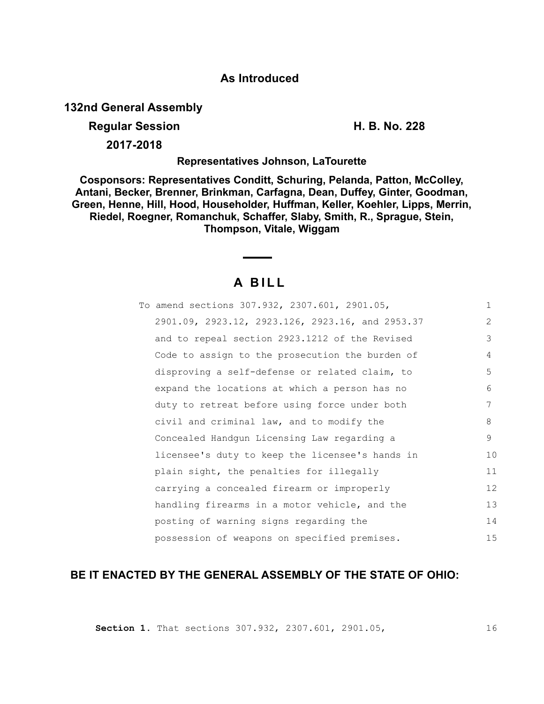# **As Introduced**

**132nd General Assembly**

# **Regular Session H. B. No. 228**

**2017-2018**

## **Representatives Johnson, LaTourette**

**Cosponsors: Representatives Conditt, Schuring, Pelanda, Patton, McColley, Antani, Becker, Brenner, Brinkman, Carfagna, Dean, Duffey, Ginter, Goodman, Green, Henne, Hill, Hood, Householder, Huffman, Keller, Koehler, Lipps, Merrin, Riedel, Roegner, Romanchuk, Schaffer, Slaby, Smith, R., Sprague, Stein, Thompson, Vitale, Wiggam**

# **A B I L L**

| To amend sections 307.932, 2307.601, 2901.05,    | $\mathbf{1}$   |
|--------------------------------------------------|----------------|
| 2901.09, 2923.12, 2923.126, 2923.16, and 2953.37 | $\overline{2}$ |
| and to repeal section 2923.1212 of the Revised   | 3              |
| Code to assign to the prosecution the burden of  | 4              |
| disproving a self-defense or related claim, to   | 5              |
| expand the locations at which a person has no    | 6              |
| duty to retreat before using force under both    | 7              |
| civil and criminal law, and to modify the        | 8              |
| Concealed Handgun Licensing Law regarding a      | 9              |
| licensee's duty to keep the licensee's hands in  | 10             |
| plain sight, the penalties for illegally         | 11             |
| carrying a concealed firearm or improperly       | 12             |
| handling firearms in a motor vehicle, and the    | 13             |
| posting of warning signs regarding the           | 14             |
| possession of weapons on specified premises.     | 15             |

# **BE IT ENACTED BY THE GENERAL ASSEMBLY OF THE STATE OF OHIO:**

**Section 1.** That sections 307.932, 2307.601, 2901.05,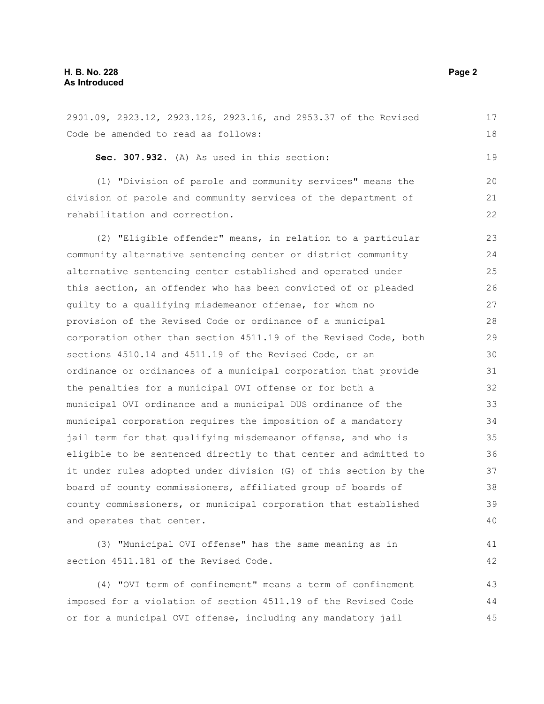#### **H. B. No. 228 Page 2 As Introduced**

2901.09, 2923.12, 2923.126, 2923.16, and 2953.37 of the Revised Code be amended to read as follows: **Sec. 307.932.** (A) As used in this section: (1) "Division of parole and community services" means the division of parole and community services of the department of rehabilitation and correction. (2) "Eligible offender" means, in relation to a particular community alternative sentencing center or district community alternative sentencing center established and operated under this section, an offender who has been convicted of or pleaded guilty to a qualifying misdemeanor offense, for whom no provision of the Revised Code or ordinance of a municipal corporation other than section 4511.19 of the Revised Code, both sections 4510.14 and 4511.19 of the Revised Code, or an ordinance or ordinances of a municipal corporation that provide the penalties for a municipal OVI offense or for both a municipal OVI ordinance and a municipal DUS ordinance of the municipal corporation requires the imposition of a mandatory jail term for that qualifying misdemeanor offense, and who is eligible to be sentenced directly to that center and admitted to it under rules adopted under division (G) of this section by the board of county commissioners, affiliated group of boards of county commissioners, or municipal corporation that established and operates that center. (3) "Municipal OVI offense" has the same meaning as in section 4511.181 of the Revised Code. (4) "OVI term of confinement" means a term of confinement imposed for a violation of section 4511.19 of the Revised Code 17 18 19 20 21 22 23  $24$ 25 26 27 28 29 30 31 32 33 34 35 36 37 38 39 40 41 42 43 44

or for a municipal OVI offense, including any mandatory jail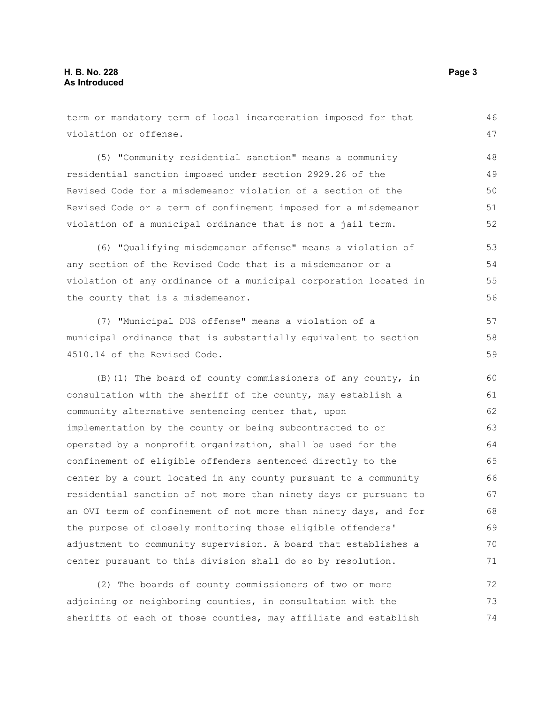term or mandatory term of local incarceration imposed for that violation or offense. (5) "Community residential sanction" means a community residential sanction imposed under section 2929.26 of the Revised Code for a misdemeanor violation of a section of the Revised Code or a term of confinement imposed for a misdemeanor violation of a municipal ordinance that is not a jail term. (6) "Qualifying misdemeanor offense" means a violation of any section of the Revised Code that is a misdemeanor or a violation of any ordinance of a municipal corporation located in the county that is a misdemeanor. (7) "Municipal DUS offense" means a violation of a municipal ordinance that is substantially equivalent to section 4510.14 of the Revised Code. (B)(1) The board of county commissioners of any county, in consultation with the sheriff of the county, may establish a community alternative sentencing center that, upon implementation by the county or being subcontracted to or operated by a nonprofit organization, shall be used for the confinement of eligible offenders sentenced directly to the center by a court located in any county pursuant to a community residential sanction of not more than ninety days or pursuant to an OVI term of confinement of not more than ninety days, and for the purpose of closely monitoring those eligible offenders' adjustment to community supervision. A board that establishes a center pursuant to this division shall do so by resolution. (2) The boards of county commissioners of two or more 46 47 48 49 50 51 52 53 54 55 56 57 58 59 60 61 62 63 64 65 66 67 68 69 70 71 72

adjoining or neighboring counties, in consultation with the sheriffs of each of those counties, may affiliate and establish 73 74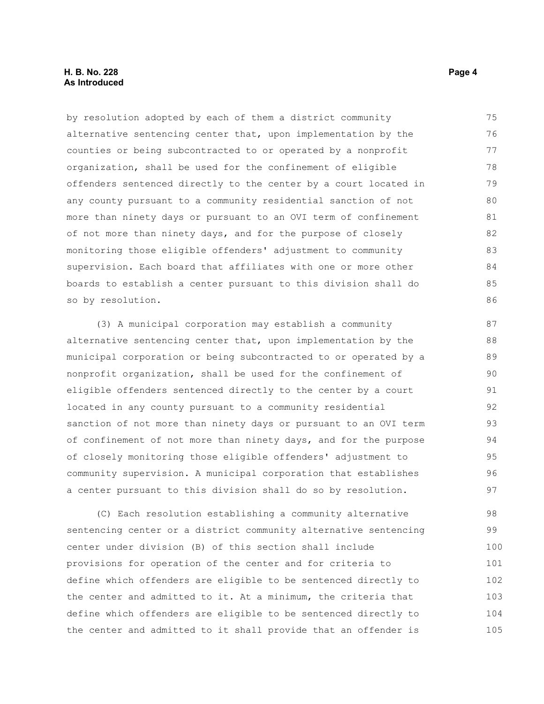#### **H. B. No. 228 Page 4 As Introduced**

by resolution adopted by each of them a district community alternative sentencing center that, upon implementation by the counties or being subcontracted to or operated by a nonprofit organization, shall be used for the confinement of eligible offenders sentenced directly to the center by a court located in any county pursuant to a community residential sanction of not more than ninety days or pursuant to an OVI term of confinement of not more than ninety days, and for the purpose of closely monitoring those eligible offenders' adjustment to community supervision. Each board that affiliates with one or more other boards to establish a center pursuant to this division shall do so by resolution. 75 76 77 78 79 80 81 82 83 84 85 86

(3) A municipal corporation may establish a community alternative sentencing center that, upon implementation by the municipal corporation or being subcontracted to or operated by a nonprofit organization, shall be used for the confinement of eligible offenders sentenced directly to the center by a court located in any county pursuant to a community residential sanction of not more than ninety days or pursuant to an OVI term of confinement of not more than ninety days, and for the purpose of closely monitoring those eligible offenders' adjustment to community supervision. A municipal corporation that establishes a center pursuant to this division shall do so by resolution. 87 88 89 90 91 92 93 94 95 96 97

(C) Each resolution establishing a community alternative sentencing center or a district community alternative sentencing center under division (B) of this section shall include provisions for operation of the center and for criteria to define which offenders are eligible to be sentenced directly to the center and admitted to it. At a minimum, the criteria that define which offenders are eligible to be sentenced directly to the center and admitted to it shall provide that an offender is 98 99 100 101 102 103 104 105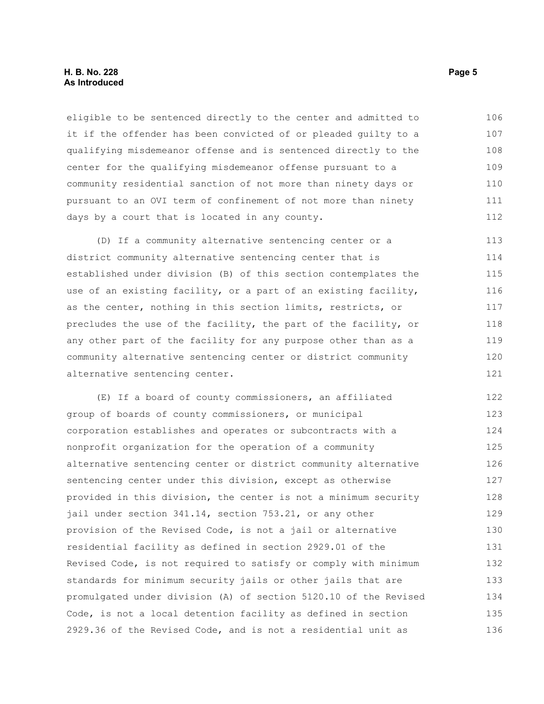#### **H. B. No. 228 Page 5 As Introduced**

eligible to be sentenced directly to the center and admitted to it if the offender has been convicted of or pleaded guilty to a qualifying misdemeanor offense and is sentenced directly to the center for the qualifying misdemeanor offense pursuant to a community residential sanction of not more than ninety days or pursuant to an OVI term of confinement of not more than ninety days by a court that is located in any county. 106 107 108 109 110 111 112

(D) If a community alternative sentencing center or a district community alternative sentencing center that is established under division (B) of this section contemplates the use of an existing facility, or a part of an existing facility, as the center, nothing in this section limits, restricts, or precludes the use of the facility, the part of the facility, or any other part of the facility for any purpose other than as a community alternative sentencing center or district community alternative sentencing center. 113 114 115 116 117 118 119 120 121

(E) If a board of county commissioners, an affiliated group of boards of county commissioners, or municipal corporation establishes and operates or subcontracts with a nonprofit organization for the operation of a community alternative sentencing center or district community alternative sentencing center under this division, except as otherwise provided in this division, the center is not a minimum security jail under section 341.14, section 753.21, or any other provision of the Revised Code, is not a jail or alternative residential facility as defined in section 2929.01 of the Revised Code, is not required to satisfy or comply with minimum standards for minimum security jails or other jails that are promulgated under division (A) of section 5120.10 of the Revised Code, is not a local detention facility as defined in section 2929.36 of the Revised Code, and is not a residential unit as 122 123 124 125 126 127 128 129 130 131 132 133 134 135 136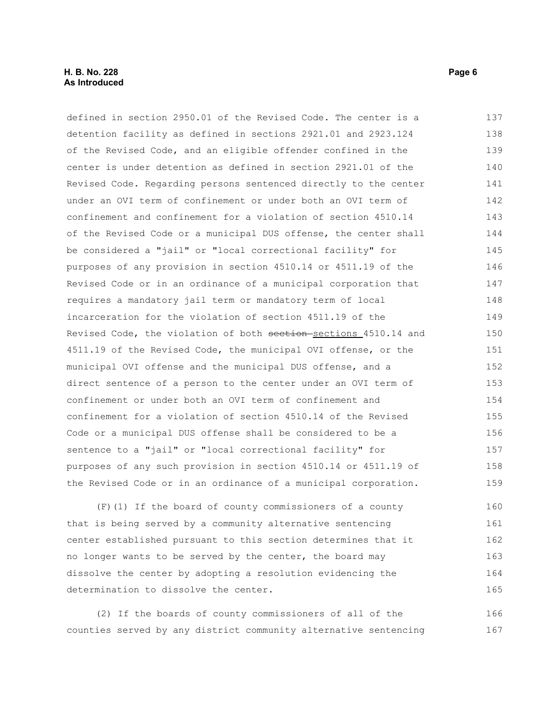#### **H. B. No. 228 Page 6 As Introduced**

defined in section 2950.01 of the Revised Code. The center is a detention facility as defined in sections 2921.01 and 2923.124 of the Revised Code, and an eligible offender confined in the center is under detention as defined in section 2921.01 of the Revised Code. Regarding persons sentenced directly to the center under an OVI term of confinement or under both an OVI term of confinement and confinement for a violation of section 4510.14 of the Revised Code or a municipal DUS offense, the center shall be considered a "jail" or "local correctional facility" for purposes of any provision in section 4510.14 or 4511.19 of the Revised Code or in an ordinance of a municipal corporation that requires a mandatory jail term or mandatory term of local incarceration for the violation of section 4511.19 of the Revised Code, the violation of both section-sections 4510.14 and 4511.19 of the Revised Code, the municipal OVI offense, or the municipal OVI offense and the municipal DUS offense, and a direct sentence of a person to the center under an OVI term of confinement or under both an OVI term of confinement and confinement for a violation of section 4510.14 of the Revised Code or a municipal DUS offense shall be considered to be a sentence to a "jail" or "local correctional facility" for purposes of any such provision in section 4510.14 or 4511.19 of the Revised Code or in an ordinance of a municipal corporation. 137 138 139 140 141 142 143 144 145 146 147 148 149 150 151 152 153 154 155 156 157 158 159

(F)(1) If the board of county commissioners of a county that is being served by a community alternative sentencing center established pursuant to this section determines that it no longer wants to be served by the center, the board may dissolve the center by adopting a resolution evidencing the determination to dissolve the center. 160 161 162 163 164 165

(2) If the boards of county commissioners of all of the counties served by any district community alternative sentencing 166 167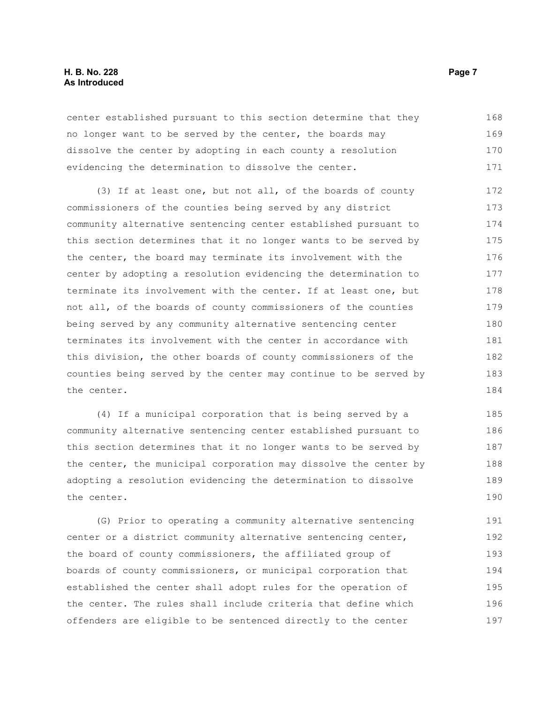#### **H. B. No. 228 Page 7 As Introduced**

center established pursuant to this section determine that they no longer want to be served by the center, the boards may dissolve the center by adopting in each county a resolution evidencing the determination to dissolve the center. 168 169 170 171

(3) If at least one, but not all, of the boards of county commissioners of the counties being served by any district community alternative sentencing center established pursuant to this section determines that it no longer wants to be served by the center, the board may terminate its involvement with the center by adopting a resolution evidencing the determination to terminate its involvement with the center. If at least one, but not all, of the boards of county commissioners of the counties being served by any community alternative sentencing center terminates its involvement with the center in accordance with this division, the other boards of county commissioners of the counties being served by the center may continue to be served by the center. 172 173 174 175 176 177 178 179 180 181 182 183 184

(4) If a municipal corporation that is being served by a community alternative sentencing center established pursuant to this section determines that it no longer wants to be served by the center, the municipal corporation may dissolve the center by adopting a resolution evidencing the determination to dissolve the center. 185 186 187 188 189 190

(G) Prior to operating a community alternative sentencing center or a district community alternative sentencing center, the board of county commissioners, the affiliated group of boards of county commissioners, or municipal corporation that established the center shall adopt rules for the operation of the center. The rules shall include criteria that define which offenders are eligible to be sentenced directly to the center 191 192 193 194 195 196 197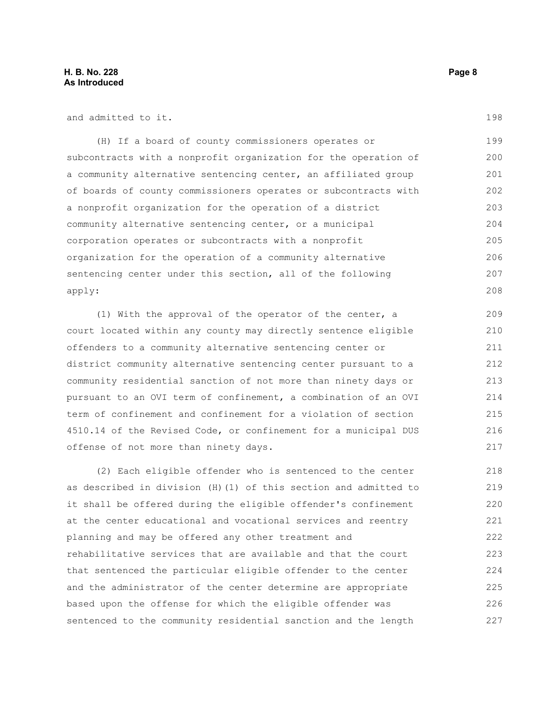and admitted to it.

(H) If a board of county commissioners operates or subcontracts with a nonprofit organization for the operation of a community alternative sentencing center, an affiliated group of boards of county commissioners operates or subcontracts with a nonprofit organization for the operation of a district community alternative sentencing center, or a municipal corporation operates or subcontracts with a nonprofit organization for the operation of a community alternative sentencing center under this section, all of the following apply: 199 200 201 202 203 204 205 206 207 208

(1) With the approval of the operator of the center, a court located within any county may directly sentence eligible offenders to a community alternative sentencing center or district community alternative sentencing center pursuant to a community residential sanction of not more than ninety days or pursuant to an OVI term of confinement, a combination of an OVI term of confinement and confinement for a violation of section 4510.14 of the Revised Code, or confinement for a municipal DUS offense of not more than ninety days.

(2) Each eligible offender who is sentenced to the center as described in division (H)(1) of this section and admitted to it shall be offered during the eligible offender's confinement at the center educational and vocational services and reentry planning and may be offered any other treatment and rehabilitative services that are available and that the court that sentenced the particular eligible offender to the center and the administrator of the center determine are appropriate based upon the offense for which the eligible offender was sentenced to the community residential sanction and the length 218 219 220 221 222 223 224 225 226 227

198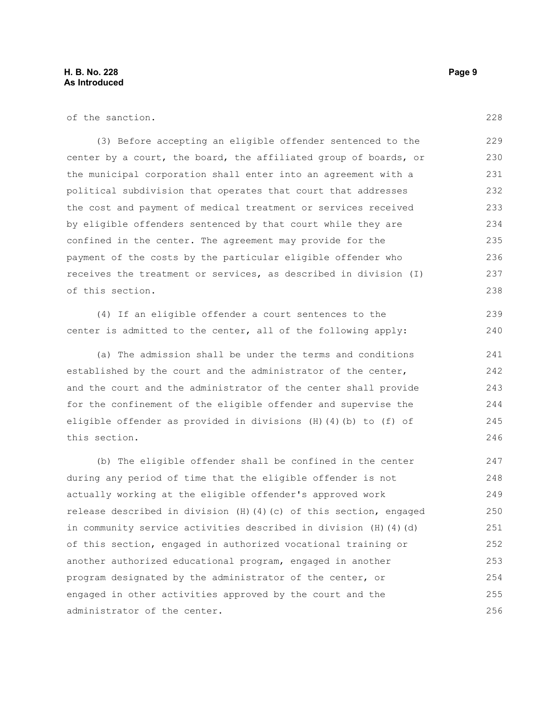of the sanction.

(3) Before accepting an eligible offender sentenced to the center by a court, the board, the affiliated group of boards, or the municipal corporation shall enter into an agreement with a political subdivision that operates that court that addresses the cost and payment of medical treatment or services received by eligible offenders sentenced by that court while they are confined in the center. The agreement may provide for the payment of the costs by the particular eligible offender who receives the treatment or services, as described in division (I) of this section. 229 230 231 232 233 234 235 236 237 238

(4) If an eligible offender a court sentences to the center is admitted to the center, all of the following apply:

(a) The admission shall be under the terms and conditions established by the court and the administrator of the center, and the court and the administrator of the center shall provide for the confinement of the eligible offender and supervise the eligible offender as provided in divisions (H)(4)(b) to (f) of this section.

(b) The eligible offender shall be confined in the center during any period of time that the eligible offender is not actually working at the eligible offender's approved work release described in division (H)(4)(c) of this section, engaged in community service activities described in division (H)(4)(d) of this section, engaged in authorized vocational training or another authorized educational program, engaged in another program designated by the administrator of the center, or engaged in other activities approved by the court and the administrator of the center. 247 248 249 250 251 252 253 254 255 256

228

239 240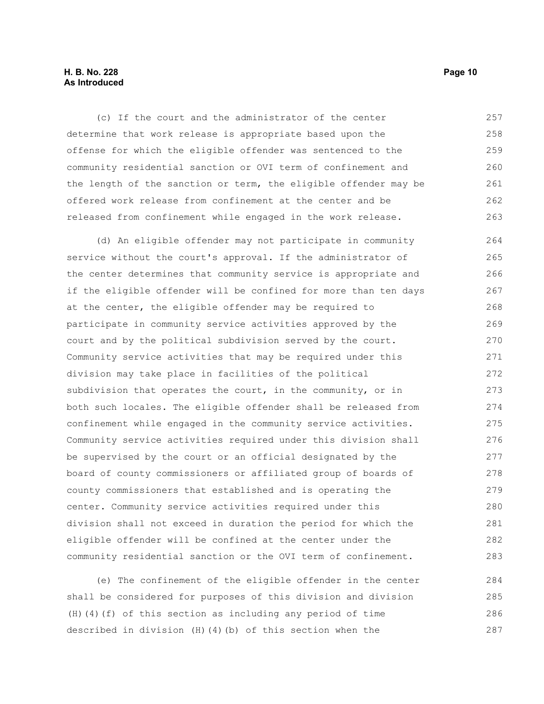### **H. B. No. 228 Page 10 As Introduced**

(c) If the court and the administrator of the center determine that work release is appropriate based upon the offense for which the eligible offender was sentenced to the community residential sanction or OVI term of confinement and the length of the sanction or term, the eligible offender may be offered work release from confinement at the center and be released from confinement while engaged in the work release. 257 258 259 260 261 262 263

(d) An eligible offender may not participate in community service without the court's approval. If the administrator of the center determines that community service is appropriate and if the eligible offender will be confined for more than ten days at the center, the eligible offender may be required to participate in community service activities approved by the court and by the political subdivision served by the court. Community service activities that may be required under this division may take place in facilities of the political subdivision that operates the court, in the community, or in both such locales. The eligible offender shall be released from confinement while engaged in the community service activities. Community service activities required under this division shall be supervised by the court or an official designated by the board of county commissioners or affiliated group of boards of county commissioners that established and is operating the center. Community service activities required under this division shall not exceed in duration the period for which the eligible offender will be confined at the center under the community residential sanction or the OVI term of confinement. 264 265 266 267 268 269 270 271 272 273 274 275 276 277 278 279 280 281 282 283

(e) The confinement of the eligible offender in the center shall be considered for purposes of this division and division (H)(4)(f) of this section as including any period of time described in division (H)(4)(b) of this section when the 284 285 286 287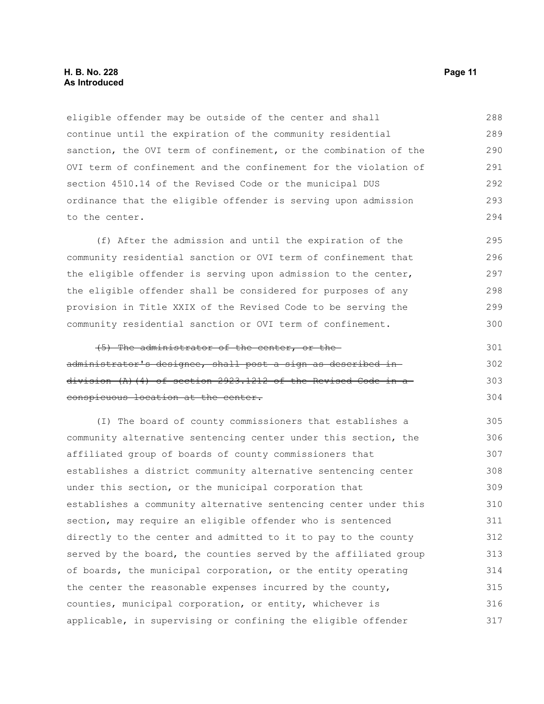#### **H. B. No. 228 Page 11 As Introduced**

eligible offender may be outside of the center and shall continue until the expiration of the community residential sanction, the OVI term of confinement, or the combination of the OVI term of confinement and the confinement for the violation of section 4510.14 of the Revised Code or the municipal DUS ordinance that the eligible offender is serving upon admission to the center. 288 289 290 291 292 293 294

(f) After the admission and until the expiration of the community residential sanction or OVI term of confinement that the eligible offender is serving upon admission to the center, the eligible offender shall be considered for purposes of any provision in Title XXIX of the Revised Code to be serving the community residential sanction or OVI term of confinement. 295 296 297 298 299 300

(5) The administrator of the center, or the administrator's designee, shall post a sign as described in division (A)(4) of section 2923.1212 of the Revised Code in a conspicuous location at the center. 301 302 303 304

(I) The board of county commissioners that establishes a community alternative sentencing center under this section, the affiliated group of boards of county commissioners that establishes a district community alternative sentencing center under this section, or the municipal corporation that establishes a community alternative sentencing center under this section, may require an eligible offender who is sentenced directly to the center and admitted to it to pay to the county served by the board, the counties served by the affiliated group of boards, the municipal corporation, or the entity operating the center the reasonable expenses incurred by the county, counties, municipal corporation, or entity, whichever is applicable, in supervising or confining the eligible offender 305 306 307 308 309 310 311 312 313 314 315 316 317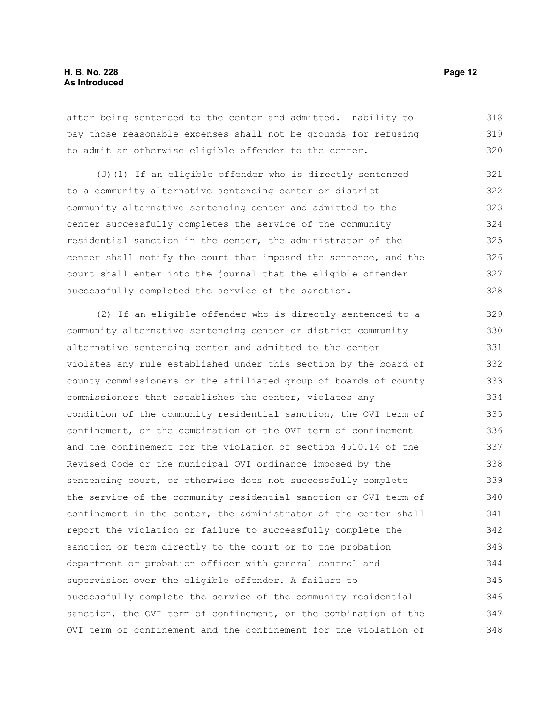after being sentenced to the center and admitted. Inability to pay those reasonable expenses shall not be grounds for refusing to admit an otherwise eligible offender to the center. 318 319 320

(J)(1) If an eligible offender who is directly sentenced to a community alternative sentencing center or district community alternative sentencing center and admitted to the center successfully completes the service of the community residential sanction in the center, the administrator of the center shall notify the court that imposed the sentence, and the court shall enter into the journal that the eligible offender successfully completed the service of the sanction. 321 322 323 324 325 326 327 328

(2) If an eligible offender who is directly sentenced to a community alternative sentencing center or district community alternative sentencing center and admitted to the center violates any rule established under this section by the board of county commissioners or the affiliated group of boards of county commissioners that establishes the center, violates any condition of the community residential sanction, the OVI term of confinement, or the combination of the OVI term of confinement and the confinement for the violation of section 4510.14 of the Revised Code or the municipal OVI ordinance imposed by the sentencing court, or otherwise does not successfully complete the service of the community residential sanction or OVI term of confinement in the center, the administrator of the center shall report the violation or failure to successfully complete the sanction or term directly to the court or to the probation department or probation officer with general control and supervision over the eligible offender. A failure to successfully complete the service of the community residential sanction, the OVI term of confinement, or the combination of the OVI term of confinement and the confinement for the violation of 329 330 331 332 333 334 335 336 337 338 339 340 341 342 343 344 345 346 347 348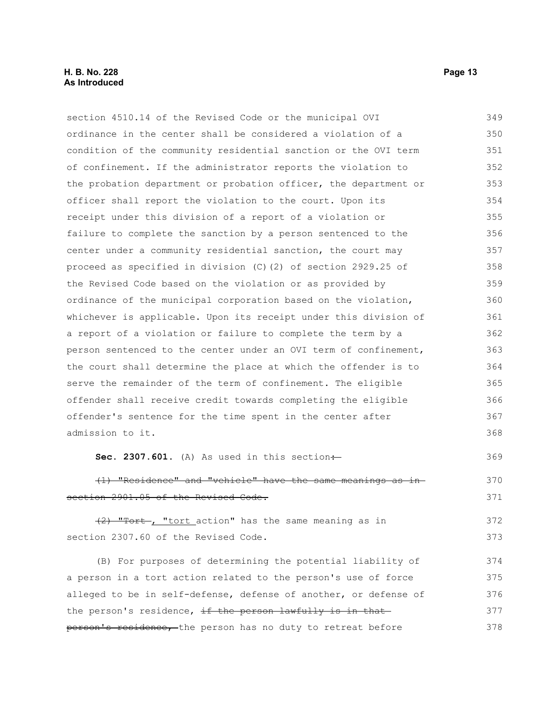section 4510.14 of the Revised Code or the municipal OVI ordinance in the center shall be considered a violation of a condition of the community residential sanction or the OVI term of confinement. If the administrator reports the violation to the probation department or probation officer, the department or officer shall report the violation to the court. Upon its receipt under this division of a report of a violation or failure to complete the sanction by a person sentenced to the center under a community residential sanction, the court may proceed as specified in division (C)(2) of section 2929.25 of the Revised Code based on the violation or as provided by ordinance of the municipal corporation based on the violation, whichever is applicable. Upon its receipt under this division of a report of a violation or failure to complete the term by a person sentenced to the center under an OVI term of confinement, the court shall determine the place at which the offender is to serve the remainder of the term of confinement. The eligible offender shall receive credit towards completing the eligible offender's sentence for the time spent in the center after admission to it. **Sec. 2307.601.** (A) As used in this section $\div$ (1) "Residence" and "vehicle" have the same meanings as in section 2901.05 of the Revised Code. 349 350 351 352 353 354 355 356 357 358 359 360 361 362 363 364 365 366 367 368 369 370 371

(2) "Tort , "tort action" has the same meaning as in section 2307.60 of the Revised Code. 372 373

(B) For purposes of determining the potential liability of a person in a tort action related to the person's use of force alleged to be in self-defense, defense of another, or defense of the person's residence, if the person lawfully is in thatperson's residence, the person has no duty to retreat before 374 375 376 377 378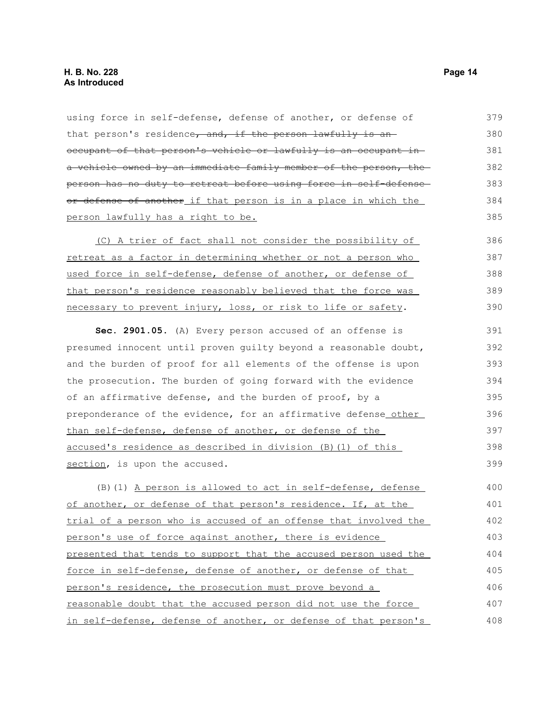| using force in self-defense, defense of another, or defense of    | 379 |
|-------------------------------------------------------------------|-----|
| that person's residence, and, if the person lawfully is an        | 380 |
| occupant of that person's vehicle or lawfully is an occupant in-  | 381 |
| a vehicle owned by an immediate family member of the person, the  | 382 |
| person has no duty to retreat before using force in self-defense- | 383 |
| or defense of another if that person is in a place in which the   | 384 |
| person lawfully has a right to be.                                | 385 |
| (C) A trier of fact shall not consider the possibility of         | 386 |
| retreat as a factor in determining whether or not a person who    | 387 |
| used force in self-defense, defense of another, or defense of     | 388 |
| that person's residence reasonably believed that the force was    | 389 |
| necessary to prevent injury, loss, or risk to life or safety.     | 390 |
| Sec. 2901.05. (A) Every person accused of an offense is           | 391 |
| presumed innocent until proven guilty beyond a reasonable doubt,  | 392 |
| and the burden of proof for all elements of the offense is upon   | 393 |
| the prosecution. The burden of going forward with the evidence    | 394 |
| of an affirmative defense, and the burden of proof, by a          | 395 |
| preponderance of the evidence, for an affirmative defense_other_  | 396 |
| than self-defense, defense of another, or defense of the          | 397 |
| accused's residence as described in division (B) (1) of this      | 398 |
| section, is upon the accused.                                     | 399 |
| (B) (1) A person is allowed to act in self-defense, defense       | 400 |
| of another, or defense of that person's residence. If, at the     | 401 |
| trial of a person who is accused of an offense that involved the  | 402 |
| person's use of force against another, there is evidence          | 403 |
| presented that tends to support that the accused person used the  | 404 |
| force in self-defense, defense of another, or defense of that     | 405 |
| person's residence, the prosecution must prove beyond a           | 406 |
| reasonable doubt that the accused person did not use the force    | 407 |
| in self-defense, defense of another, or defense of that person's  | 408 |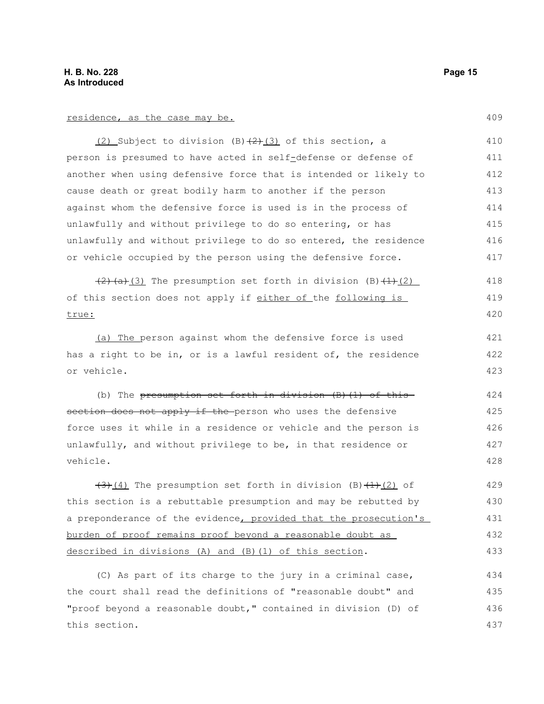#### residence, as the case may be.

 $(2)$  Subject to division (B) $(2)$  (3) of this section, a person is presumed to have acted in self-defense or defense of another when using defensive force that is intended or likely to cause death or great bodily harm to another if the person against whom the defensive force is used is in the process of unlawfully and without privilege to do so entering, or has unlawfully and without privilege to do so entered, the residence or vehicle occupied by the person using the defensive force. 410 411 412 413 414 415 416 417

 $(2)(a)(3)$  The presumption set forth in division (B) $(1)(2)$ of this section does not apply if either of the following is true: 418 419 420

(a) The person against whom the defensive force is used has a right to be in, or is a lawful resident of, the residence or vehicle.

(b) The presumption set forth in division  $(B)$   $(1)$  of this section does not apply if the person who uses the defensive force uses it while in a residence or vehicle and the person is unlawfully, and without privilege to be, in that residence or vehicle. 424 425 426 427 428

 $(3)$ (4) The presumption set forth in division (B) $(1)$ (2) of this section is a rebuttable presumption and may be rebutted by a preponderance of the evidence, provided that the prosecution's burden of proof remains proof beyond a reasonable doubt as described in divisions (A) and  $(B)$  (1) of this section. 429 430 431 432 433

(C) As part of its charge to the jury in a criminal case, the court shall read the definitions of "reasonable doubt" and "proof beyond a reasonable doubt," contained in division (D) of this section. 434 435 436 437

409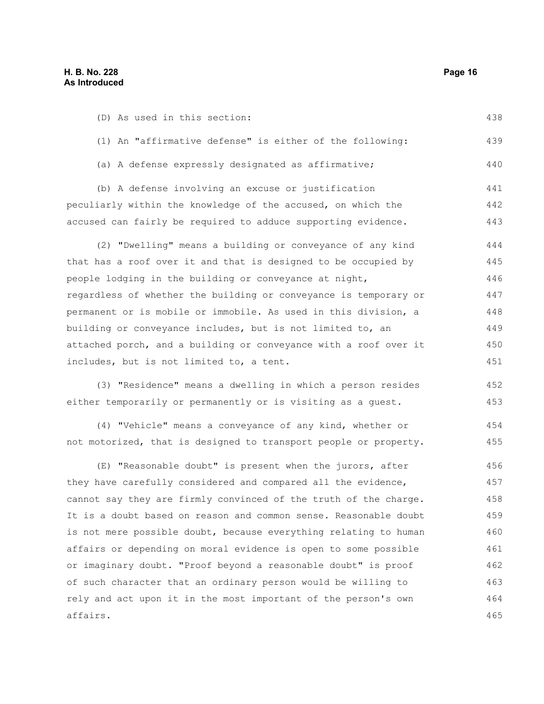| (D) As used in this section:                                     | 438 |
|------------------------------------------------------------------|-----|
| (1) An "affirmative defense" is either of the following:         | 439 |
| (a) A defense expressly designated as affirmative;               | 440 |
| (b) A defense involving an excuse or justification               | 441 |
| peculiarly within the knowledge of the accused, on which the     | 442 |
| accused can fairly be required to adduce supporting evidence.    | 443 |
| (2) "Dwelling" means a building or conveyance of any kind        | 444 |
| that has a roof over it and that is designed to be occupied by   | 445 |
| people lodging in the building or conveyance at night,           | 446 |
| regardless of whether the building or conveyance is temporary or | 447 |
| permanent or is mobile or immobile. As used in this division, a  | 448 |
| building or conveyance includes, but is not limited to, an       | 449 |
| attached porch, and a building or conveyance with a roof over it | 450 |
| includes, but is not limited to, a tent.                         | 451 |
| (3) "Residence" means a dwelling in which a person resides       | 452 |
| either temporarily or permanently or is visiting as a guest.     | 453 |
| (4) "Vehicle" means a conveyance of any kind, whether or         | 454 |
| not motorized, that is designed to transport people or property. | 455 |
| (E) "Reasonable doubt" is present when the jurors, after         | 456 |
| they have carefully considered and compared all the evidence,    | 457 |
| cannot say they are firmly convinced of the truth of the charge. | 458 |
| It is a doubt based on reason and common sense. Reasonable doubt | 459 |
| is not mere possible doubt, because everything relating to human | 460 |
| affairs or depending on moral evidence is open to some possible  | 461 |
| or imaginary doubt. "Proof beyond a reasonable doubt" is proof   | 462 |
| of such character that an ordinary person would be willing to    | 463 |
| rely and act upon it in the most important of the person's own   | 464 |
| affairs.                                                         | 465 |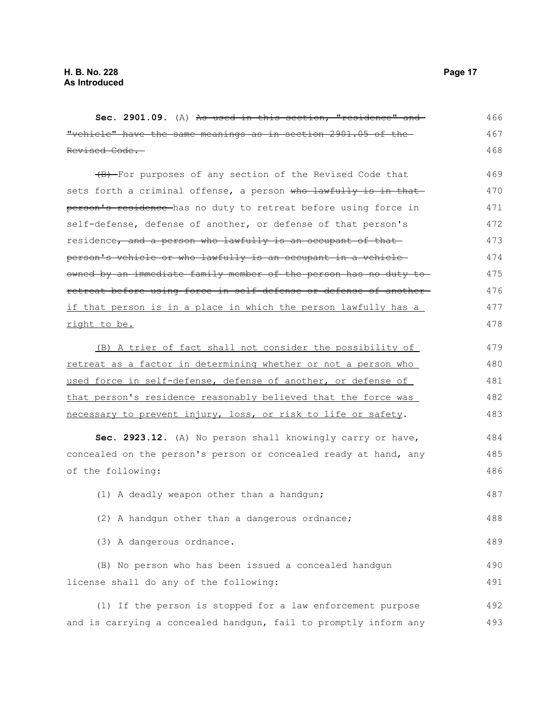| Sec. 2901.09. (A) As used in this section, "residence" and        | 466 |
|-------------------------------------------------------------------|-----|
| "vehicle" have the same meanings as in section 2901.05 of the     | 467 |
| Revised Code.                                                     | 468 |
| (B) For purposes of any section of the Revised Code that          | 469 |
| sets forth a criminal offense, a person who lawfully is in that   | 470 |
| person's residence has no duty to retreat before using force in   | 471 |
| self-defense, defense of another, or defense of that person's     | 472 |
| residence, and a person who lawfully is an occupant of that       | 473 |
| person's vehicle or who lawfully is an occupant in a vehicle-     | 474 |
| owned by an immediate family member of the person has no duty to  | 475 |
| retreat before using force in self-defense or defense of another- | 476 |
| if that person is in a place in which the person lawfully has a   | 477 |
| right to be.                                                      | 478 |
| (B) A trier of fact shall not consider the possibility of         | 479 |
| retreat as a factor in determining whether or not a person who    | 480 |
| used force in self-defense, defense of another, or defense of     | 481 |
| that person's residence reasonably believed that the force was    | 482 |
| necessary to prevent injury, loss, or risk to life or safety.     | 483 |
| Sec. 2923.12. (A) No person shall knowingly carry or have,        | 484 |
| concealed on the person's person or concealed ready at hand, any  | 485 |
| of the following:                                                 | 486 |
| (1) A deadly weapon other than a handgun;                         | 487 |
| (2) A handgun other than a dangerous ordnance;                    | 488 |
| (3) A dangerous ordnance.                                         | 489 |
| (B) No person who has been issued a concealed handgun             | 490 |
| license shall do any of the following:                            | 491 |
| (1) If the person is stopped for a law enforcement purpose        | 492 |
| and is carrying a concealed handgun, fail to promptly inform any  | 493 |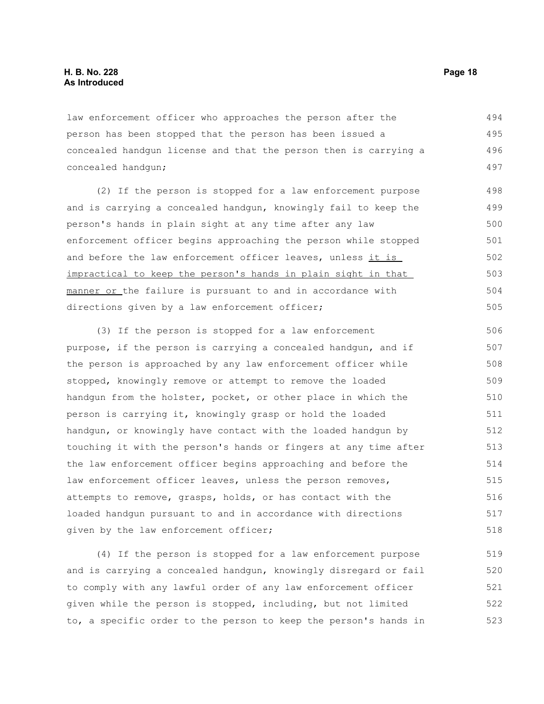law enforcement officer who approaches the person after the person has been stopped that the person has been issued a concealed handgun license and that the person then is carrying a concealed handgun; 494 495 496 497

(2) If the person is stopped for a law enforcement purpose and is carrying a concealed handgun, knowingly fail to keep the person's hands in plain sight at any time after any law enforcement officer begins approaching the person while stopped and before the law enforcement officer leaves, unless it is impractical to keep the person's hands in plain sight in that manner or the failure is pursuant to and in accordance with directions given by a law enforcement officer; 498 499 500 501 502 503 504 505

(3) If the person is stopped for a law enforcement purpose, if the person is carrying a concealed handgun, and if the person is approached by any law enforcement officer while stopped, knowingly remove or attempt to remove the loaded handgun from the holster, pocket, or other place in which the person is carrying it, knowingly grasp or hold the loaded handgun, or knowingly have contact with the loaded handgun by touching it with the person's hands or fingers at any time after the law enforcement officer begins approaching and before the law enforcement officer leaves, unless the person removes, attempts to remove, grasps, holds, or has contact with the loaded handgun pursuant to and in accordance with directions given by the law enforcement officer; 506 507 508 509 510 511 512 513 514 515 516 517 518

(4) If the person is stopped for a law enforcement purpose and is carrying a concealed handgun, knowingly disregard or fail to comply with any lawful order of any law enforcement officer given while the person is stopped, including, but not limited to, a specific order to the person to keep the person's hands in 519 520 521 522 523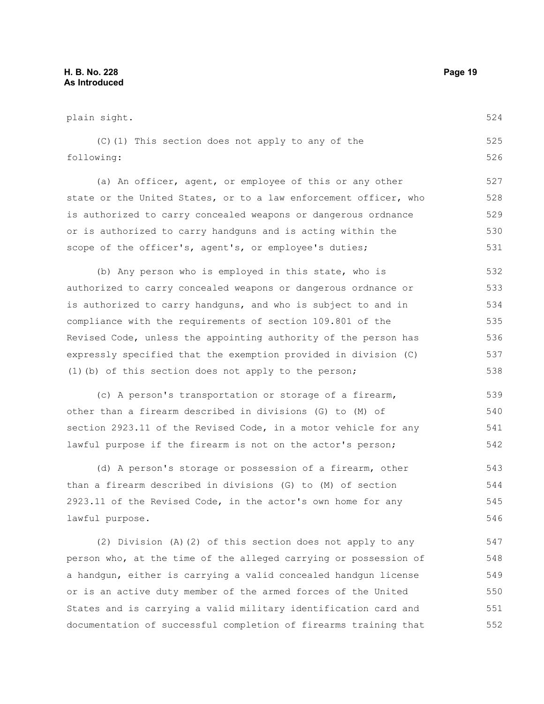plain sight. (C)(1) This section does not apply to any of the following: (a) An officer, agent, or employee of this or any other state or the United States, or to a law enforcement officer, who is authorized to carry concealed weapons or dangerous ordnance or is authorized to carry handguns and is acting within the scope of the officer's, agent's, or employee's duties; (b) Any person who is employed in this state, who is authorized to carry concealed weapons or dangerous ordnance or is authorized to carry handguns, and who is subject to and in compliance with the requirements of section 109.801 of the Revised Code, unless the appointing authority of the person has expressly specified that the exemption provided in division (C) (1)(b) of this section does not apply to the person; (c) A person's transportation or storage of a firearm, other than a firearm described in divisions (G) to (M) of section 2923.11 of the Revised Code, in a motor vehicle for any lawful purpose if the firearm is not on the actor's person; (d) A person's storage or possession of a firearm, other than a firearm described in divisions (G) to (M) of section 2923.11 of the Revised Code, in the actor's own home for any lawful purpose. 524 525 526 527 528 529 530 531 532 533 534 535 536 537 538 539 540 541 542 543 544 545 546

(2) Division (A)(2) of this section does not apply to any person who, at the time of the alleged carrying or possession of a handgun, either is carrying a valid concealed handgun license or is an active duty member of the armed forces of the United States and is carrying a valid military identification card and documentation of successful completion of firearms training that 547 548 549 550 551 552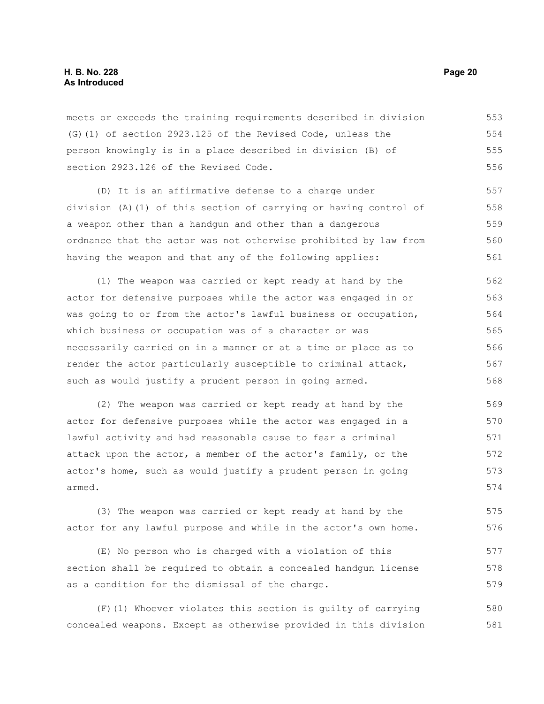meets or exceeds the training requirements described in division (G)(1) of section 2923.125 of the Revised Code, unless the person knowingly is in a place described in division (B) of section 2923.126 of the Revised Code. 553 554 555 556

(D) It is an affirmative defense to a charge under division (A)(1) of this section of carrying or having control of a weapon other than a handgun and other than a dangerous ordnance that the actor was not otherwise prohibited by law from having the weapon and that any of the following applies: 557 558 559 560 561

(1) The weapon was carried or kept ready at hand by the actor for defensive purposes while the actor was engaged in or was going to or from the actor's lawful business or occupation, which business or occupation was of a character or was necessarily carried on in a manner or at a time or place as to render the actor particularly susceptible to criminal attack, such as would justify a prudent person in going armed. 562 563 564 565 566 567 568

(2) The weapon was carried or kept ready at hand by the actor for defensive purposes while the actor was engaged in a lawful activity and had reasonable cause to fear a criminal attack upon the actor, a member of the actor's family, or the actor's home, such as would justify a prudent person in going armed. 569 570 571 572 573 574

(3) The weapon was carried or kept ready at hand by the actor for any lawful purpose and while in the actor's own home. 575 576

(E) No person who is charged with a violation of this section shall be required to obtain a concealed handgun license as a condition for the dismissal of the charge.

(F)(1) Whoever violates this section is guilty of carrying concealed weapons. Except as otherwise provided in this division 580 581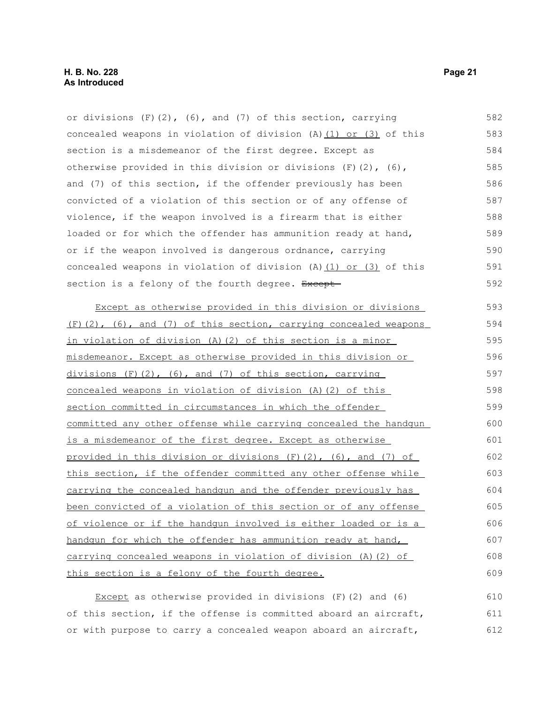or divisions  $(F)(2)$ ,  $(6)$ , and  $(7)$  of this section, carrying concealed weapons in violation of division (A)(1) or (3) of this section is a misdemeanor of the first degree. Except as otherwise provided in this division or divisions (F)(2), (6), and (7) of this section, if the offender previously has been convicted of a violation of this section or of any offense of violence, if the weapon involved is a firearm that is either loaded or for which the offender has ammunition ready at hand, or if the weapon involved is dangerous ordnance, carrying concealed weapons in violation of division (A)(1) or (3) of this section is a felony of the fourth degree. Except Except as otherwise provided in this division or divisions 582 583 584 585 586 587 588 589 590 591 592 593

 $(F)(2)$ ,  $(6)$ , and  $(7)$  of this section, carrying concealed weapons in violation of division (A)(2) of this section is a minor misdemeanor. Except as otherwise provided in this division or divisions  $(F)$  (2), (6), and (7) of this section, carrying concealed weapons in violation of division (A)(2) of this section committed in circumstances in which the offender committed any other offense while carrying concealed the handgun is a misdemeanor of the first degree. Except as otherwise provided in this division or divisions (F)(2), (6), and (7) of this section, if the offender committed any other offense while carrying the concealed handgun and the offender previously has been convicted of a violation of this section or of any offense of violence or if the handgun involved is either loaded or is a handgun for which the offender has ammunition ready at hand, carrying concealed weapons in violation of division (A)(2) of this section is a felony of the fourth degree. 594 595 596 597 598 599 600 601 602 603 604 605 606 607 608 609

Except as otherwise provided in divisions (F)(2) and (6) of this section, if the offense is committed aboard an aircraft, or with purpose to carry a concealed weapon aboard an aircraft, 610 611 612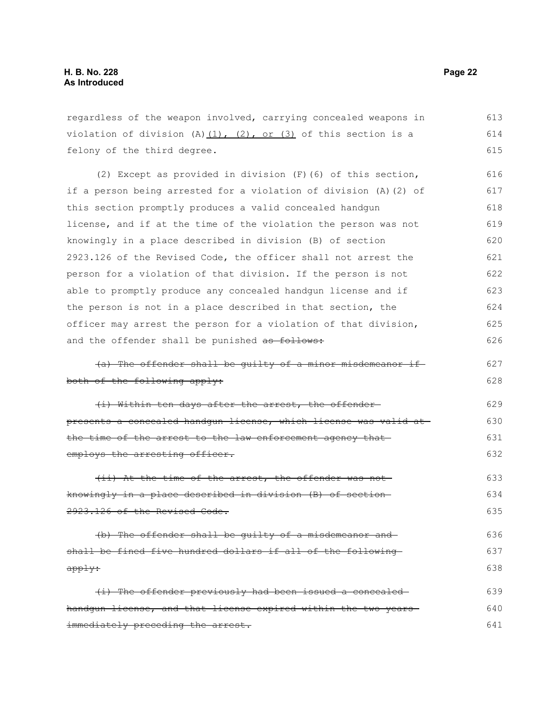regardless of the weapon involved, carrying concealed weapons in violation of division  $(A)$   $(1)$ ,  $(2)$ , or  $(3)$  of this section is a felony of the third degree. 613 614 615

(2) Except as provided in division (F)(6) of this section, if a person being arrested for a violation of division (A)(2) of this section promptly produces a valid concealed handgun license, and if at the time of the violation the person was not knowingly in a place described in division (B) of section 2923.126 of the Revised Code, the officer shall not arrest the person for a violation of that division. If the person is not able to promptly produce any concealed handgun license and if the person is not in a place described in that section, the officer may arrest the person for a violation of that division, and the offender shall be punished as follows: 616 617 618 619 620 621 622 623 624 625 626

(a) The offender shall be guilty of a minor misdemeanor if both of the following apply: 627 628

(i) Within ten days after the arrest, the offender presents a concealed handgun license, which license was valid at the time of the arrest to the law enforcement agency that employs the arresting officer. 629 630 631 632

(ii) At the time of the arrest, the offender was not knowingly in a place described in division (B) of section 2923.126 of the Revised Code. 633 634 635

(b) The offender shall be guilty of a misdemeanor and shall be fined five hundred dollars if all of the following apply: 636 637 638

(i) The offender previously had been issued a concealed handgun license, and that license expired within the two yearsimmediately preceding the arrest. 639 640 641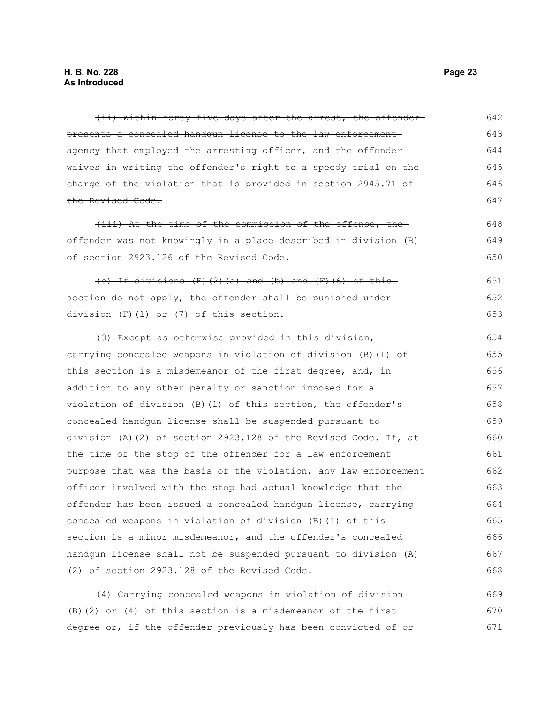| (ii) Within forty five days after the arrest, the offender-            | 642 |
|------------------------------------------------------------------------|-----|
|                                                                        |     |
| presents a concealed handgun license to the law enforcement            | 643 |
| agency that employed the arresting officer, and the offender-          | 644 |
| waives in writing the offender's right to a speedy trial on the        | 645 |
| charge of the violation that is provided in section 2945.71 of         | 646 |
| the Revised Code.                                                      | 647 |
| (iii) At the time of the commission of the offense, the                | 648 |
| offender was not knowingly in a place described in division (B)-       | 649 |
| of section 2923.126 of the Revised Code.                               | 650 |
| $(e)$ If divisions $(F)$ $(2)$ $(a)$ and $(b)$ and $(F)$ $(6)$ of this | 651 |
| section do not apply, the offender shall be punished under             | 652 |
| division $(F)$ $(1)$ or $(7)$ of this section.                         | 653 |
| (3) Except as otherwise provided in this division,                     | 654 |
| carrying concealed weapons in violation of division (B) (1) of         | 655 |
| this section is a misdemeanor of the first degree, and, in             | 656 |
| addition to any other penalty or sanction imposed for a                | 657 |
| violation of division (B) (1) of this section, the offender's          | 658 |
| concealed handgun license shall be suspended pursuant to               | 659 |
| division (A)(2) of section 2923.128 of the Revised Code. If, at        | 660 |
| the time of the stop of the offender for a law enforcement             | 661 |
| purpose that was the basis of the violation, any law enforcement       | 662 |
| officer involved with the stop had actual knowledge that the           | 663 |
| offender has been issued a concealed handgun license, carrying         | 664 |
| concealed weapons in violation of division (B)(1) of this              | 665 |
| section is a minor misdemeanor, and the offender's concealed           | 666 |
| handgun license shall not be suspended pursuant to division (A)        | 667 |
| (2) of section 2923.128 of the Revised Code.                           | 668 |
| (4) Carrying concealed weapons in violation of division                | 669 |
| $(R)$ $(2)$ or $(4)$ of this section is a misdemeanor of the first     | 670 |

(B)(2) or (4) of this section is a misdemeanor of the first degree or, if the offender previously has been convicted of or 670 671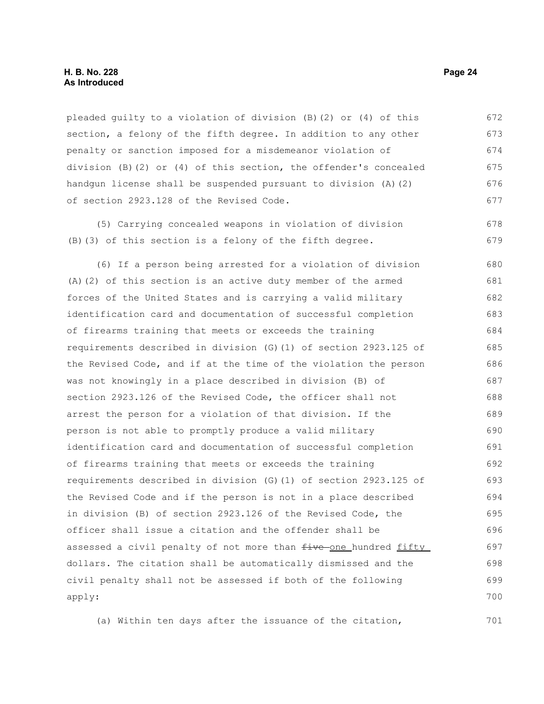#### **H. B. No. 228 Page 24 As Introduced**

pleaded guilty to a violation of division (B)(2) or (4) of this section, a felony of the fifth degree. In addition to any other penalty or sanction imposed for a misdemeanor violation of division (B)(2) or (4) of this section, the offender's concealed handgun license shall be suspended pursuant to division (A)(2) of section 2923.128 of the Revised Code. 672 673 674 675 676 677

(5) Carrying concealed weapons in violation of division (B)(3) of this section is a felony of the fifth degree. 678 679

(6) If a person being arrested for a violation of division (A)(2) of this section is an active duty member of the armed forces of the United States and is carrying a valid military identification card and documentation of successful completion of firearms training that meets or exceeds the training requirements described in division (G)(1) of section 2923.125 of the Revised Code, and if at the time of the violation the person was not knowingly in a place described in division (B) of section 2923.126 of the Revised Code, the officer shall not arrest the person for a violation of that division. If the person is not able to promptly produce a valid military identification card and documentation of successful completion of firearms training that meets or exceeds the training requirements described in division (G)(1) of section 2923.125 of the Revised Code and if the person is not in a place described in division (B) of section 2923.126 of the Revised Code, the officer shall issue a citation and the offender shall be assessed a civil penalty of not more than  $f$ ive one hundred fifty dollars. The citation shall be automatically dismissed and the civil penalty shall not be assessed if both of the following apply: 680 681 682 683 684 685 686 687 688 689 690 691 692 693 694 695 696 697 698 699 700

(a) Within ten days after the issuance of the citation,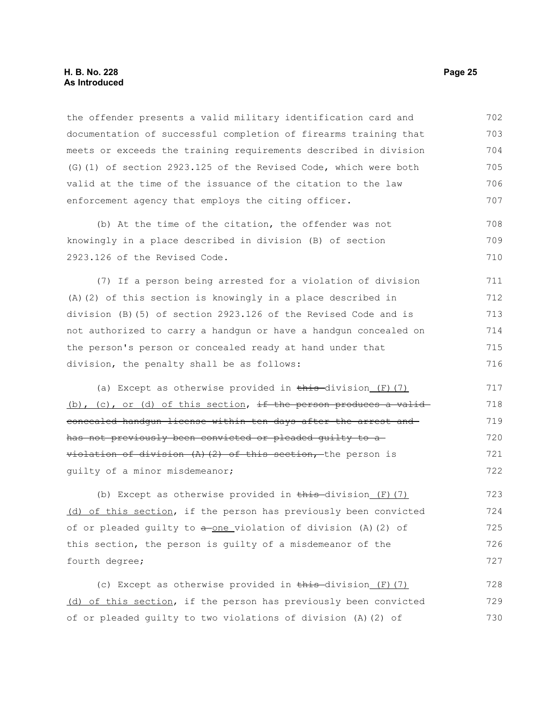#### **H. B. No. 228 Page 25 As Introduced**

the offender presents a valid military identification card and documentation of successful completion of firearms training that meets or exceeds the training requirements described in division (G)(1) of section 2923.125 of the Revised Code, which were both valid at the time of the issuance of the citation to the law enforcement agency that employs the citing officer. 702 703 704 705 706 707

(b) At the time of the citation, the offender was not knowingly in a place described in division (B) of section 2923.126 of the Revised Code. 708 709 710

(7) If a person being arrested for a violation of division (A)(2) of this section is knowingly in a place described in division (B)(5) of section 2923.126 of the Revised Code and is not authorized to carry a handgun or have a handgun concealed on the person's person or concealed ready at hand under that division, the penalty shall be as follows: 711 712 713 714 715 716

(a) Except as otherwise provided in  $\frac{\text{this}}{\text{this}}$  division (F)(7) (b), (c), or (d) of this section, if the person produces a validconcealed handgun license within ten days after the arrest and has not previously been convicted or pleaded guilty to a violation of division (A)(2) of this section, the person is guilty of a minor misdemeanor; 717 718 719 720 721 722

(b) Except as otherwise provided in  $\frac{\text{this}}{\text{this}}$  division (F)(7) (d) of this section, if the person has previously been convicted of or pleaded guilty to  $a$ -one violation of division (A)(2) of this section, the person is guilty of a misdemeanor of the fourth degree; 723 724 725 726 727

(c) Except as otherwise provided in  $\frac{1}{2}$  this division (F)(7) (d) of this section, if the person has previously been convicted of or pleaded guilty to two violations of division (A)(2) of 728 729 730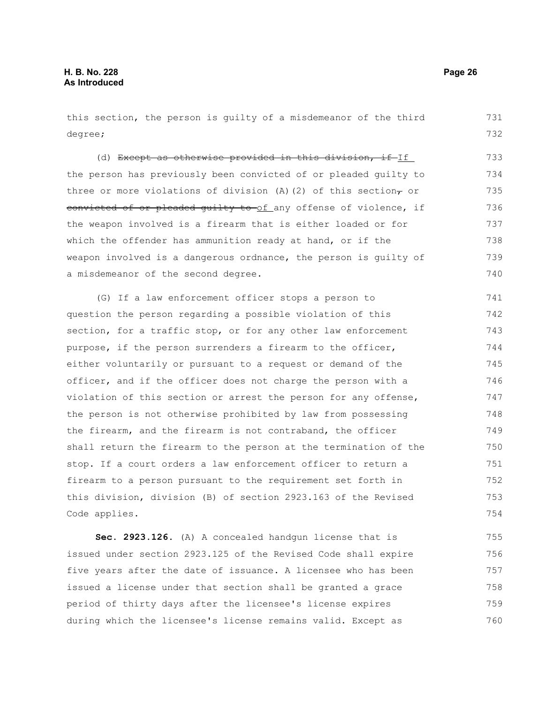#### this section, the person is guilty of a misdemeanor of the third degree; (d) Except as otherwise provided in this division, if If the person has previously been convicted of or pleaded guilty to three or more violations of division (A)(2) of this section, or eonvicted of or pleaded quilty to of any offense of violence, if the weapon involved is a firearm that is either loaded or for which the offender has ammunition ready at hand, or if the weapon involved is a dangerous ordnance, the person is guilty of a misdemeanor of the second degree. (G) If a law enforcement officer stops a person to question the person regarding a possible violation of this section, for a traffic stop, or for any other law enforcement purpose, if the person surrenders a firearm to the officer, either voluntarily or pursuant to a request or demand of the officer, and if the officer does not charge the person with a violation of this section or arrest the person for any offense, the person is not otherwise prohibited by law from possessing the firearm, and the firearm is not contraband, the officer shall return the firearm to the person at the termination of the stop. If a court orders a law enforcement officer to return a firearm to a person pursuant to the requirement set forth in this division, division (B) of section 2923.163 of the Revised Code applies. **Sec. 2923.126.** (A) A concealed handgun license that is issued under section 2923.125 of the Revised Code shall expire 731 732 733 734 735 736 737 738 739 740 741 742 743 744 745 746 747 748 749 750 751 752 753 754 755 756

five years after the date of issuance. A licensee who has been issued a license under that section shall be granted a grace period of thirty days after the licensee's license expires during which the licensee's license remains valid. Except as 757 758 759 760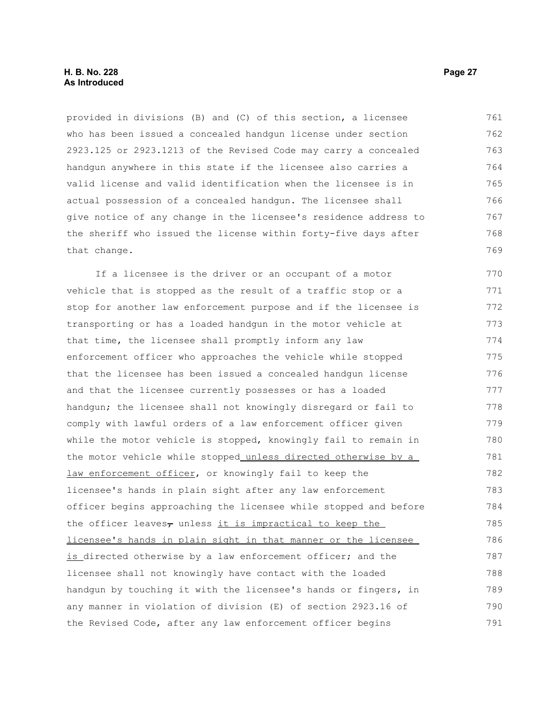provided in divisions (B) and (C) of this section, a licensee who has been issued a concealed handgun license under section 2923.125 or 2923.1213 of the Revised Code may carry a concealed handgun anywhere in this state if the licensee also carries a valid license and valid identification when the licensee is in actual possession of a concealed handgun. The licensee shall give notice of any change in the licensee's residence address to the sheriff who issued the license within forty-five days after that change. 761 762 763 764 765 766 767 768 769

If a licensee is the driver or an occupant of a motor vehicle that is stopped as the result of a traffic stop or a stop for another law enforcement purpose and if the licensee is transporting or has a loaded handgun in the motor vehicle at that time, the licensee shall promptly inform any law enforcement officer who approaches the vehicle while stopped that the licensee has been issued a concealed handgun license and that the licensee currently possesses or has a loaded handgun; the licensee shall not knowingly disregard or fail to comply with lawful orders of a law enforcement officer given while the motor vehicle is stopped, knowingly fail to remain in the motor vehicle while stopped unless directed otherwise by a law enforcement officer, or knowingly fail to keep the licensee's hands in plain sight after any law enforcement officer begins approaching the licensee while stopped and before the officer leaves $_{\tau}$  unless it is impractical to keep the licensee's hands in plain sight in that manner or the licensee is directed otherwise by a law enforcement officer; and the licensee shall not knowingly have contact with the loaded handgun by touching it with the licensee's hands or fingers, in any manner in violation of division (E) of section 2923.16 of the Revised Code, after any law enforcement officer begins 770 771 772 773 774 775 776 777 778 779 780 781 782 783 784 785 786 787 788 789 790 791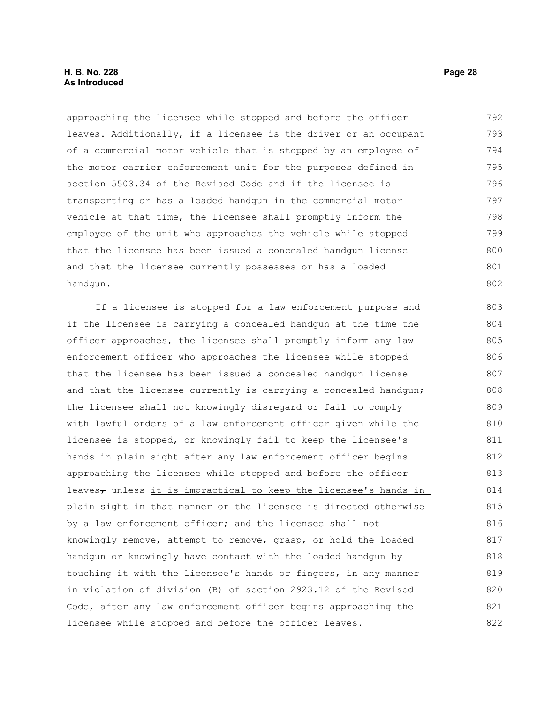### **H. B. No. 228 Page 28 As Introduced**

approaching the licensee while stopped and before the officer leaves. Additionally, if a licensee is the driver or an occupant of a commercial motor vehicle that is stopped by an employee of the motor carrier enforcement unit for the purposes defined in section 5503.34 of the Revised Code and  $\pm\text{f}$  the licensee is transporting or has a loaded handgun in the commercial motor vehicle at that time, the licensee shall promptly inform the employee of the unit who approaches the vehicle while stopped that the licensee has been issued a concealed handgun license and that the licensee currently possesses or has a loaded handgun. 792 793 794 795 796 797 798 799 800 801 802

If a licensee is stopped for a law enforcement purpose and if the licensee is carrying a concealed handgun at the time the officer approaches, the licensee shall promptly inform any law enforcement officer who approaches the licensee while stopped that the licensee has been issued a concealed handgun license and that the licensee currently is carrying a concealed handgun; the licensee shall not knowingly disregard or fail to comply with lawful orders of a law enforcement officer given while the licensee is stopped, or knowingly fail to keep the licensee's hands in plain sight after any law enforcement officer begins approaching the licensee while stopped and before the officer leaves<sub> $\tau$ </sub> unless it is impractical to keep the licensee's hands in plain sight in that manner or the licensee is directed otherwise by a law enforcement officer; and the licensee shall not knowingly remove, attempt to remove, grasp, or hold the loaded handgun or knowingly have contact with the loaded handgun by touching it with the licensee's hands or fingers, in any manner in violation of division (B) of section 2923.12 of the Revised Code, after any law enforcement officer begins approaching the licensee while stopped and before the officer leaves. 803 804 805 806 807 808 809 810 811 812 813 814 815 816 817 818 819 820 821 822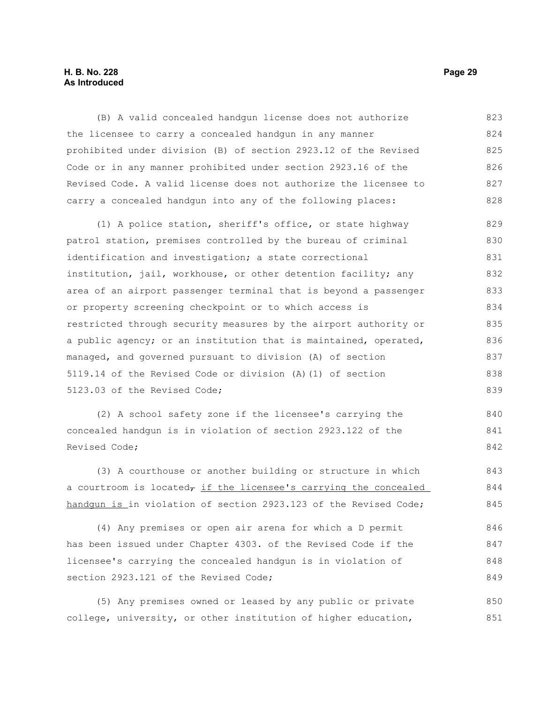#### **H. B. No. 228 Page 29 As Introduced**

(B) A valid concealed handgun license does not authorize the licensee to carry a concealed handgun in any manner prohibited under division (B) of section 2923.12 of the Revised Code or in any manner prohibited under section 2923.16 of the Revised Code. A valid license does not authorize the licensee to carry a concealed handgun into any of the following places: 823 824 825 826 827 828

(1) A police station, sheriff's office, or state highway patrol station, premises controlled by the bureau of criminal identification and investigation; a state correctional institution, jail, workhouse, or other detention facility; any area of an airport passenger terminal that is beyond a passenger or property screening checkpoint or to which access is restricted through security measures by the airport authority or a public agency; or an institution that is maintained, operated, managed, and governed pursuant to division (A) of section 5119.14 of the Revised Code or division (A)(1) of section 5123.03 of the Revised Code; 829 830 831 832 833 834 835 836 837 838 839

(2) A school safety zone if the licensee's carrying the concealed handgun is in violation of section 2923.122 of the Revised Code; 840 841 842

(3) A courthouse or another building or structure in which a courtroom is located $_{7}$  if the licensee's carrying the concealed handgun is in violation of section 2923.123 of the Revised Code; 843 844 845

(4) Any premises or open air arena for which a D permit has been issued under Chapter 4303. of the Revised Code if the licensee's carrying the concealed handgun is in violation of section 2923.121 of the Revised Code; 846 847 848 849

(5) Any premises owned or leased by any public or private college, university, or other institution of higher education, 850 851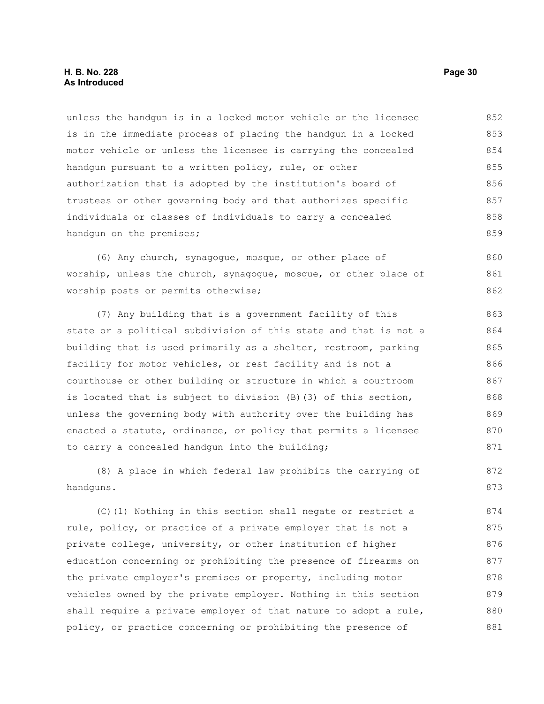unless the handgun is in a locked motor vehicle or the licensee is in the immediate process of placing the handgun in a locked motor vehicle or unless the licensee is carrying the concealed handgun pursuant to a written policy, rule, or other authorization that is adopted by the institution's board of trustees or other governing body and that authorizes specific individuals or classes of individuals to carry a concealed handgun on the premises; 852 853 854 855 856 857 858 859

(6) Any church, synagogue, mosque, or other place of worship, unless the church, synagogue, mosque, or other place of worship posts or permits otherwise; 860 861 862

(7) Any building that is a government facility of this state or a political subdivision of this state and that is not a building that is used primarily as a shelter, restroom, parking facility for motor vehicles, or rest facility and is not a courthouse or other building or structure in which a courtroom is located that is subject to division (B)(3) of this section, unless the governing body with authority over the building has enacted a statute, ordinance, or policy that permits a licensee to carry a concealed handgun into the building; 863 864 865 866 867 868 869 870 871

(8) A place in which federal law prohibits the carrying of handguns. 872 873

(C)(1) Nothing in this section shall negate or restrict a rule, policy, or practice of a private employer that is not a private college, university, or other institution of higher education concerning or prohibiting the presence of firearms on the private employer's premises or property, including motor vehicles owned by the private employer. Nothing in this section shall require a private employer of that nature to adopt a rule, policy, or practice concerning or prohibiting the presence of 874 875 876 877 878 879 880 881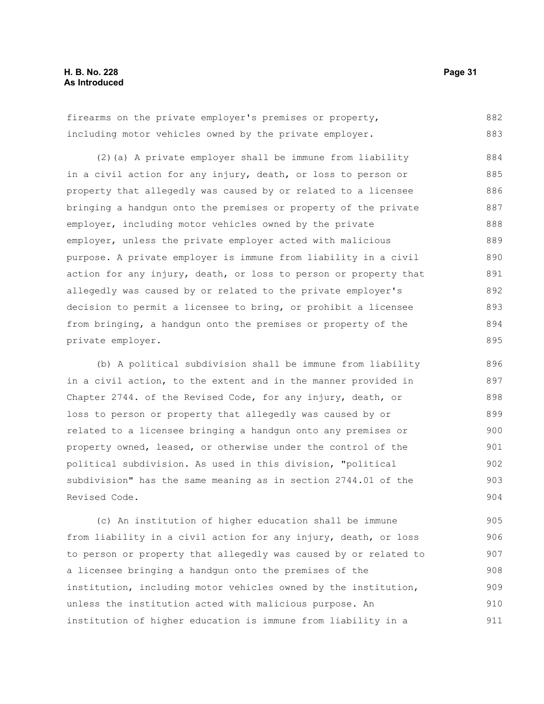firearms on the private employer's premises or property, including motor vehicles owned by the private employer. 882 883

(2)(a) A private employer shall be immune from liability in a civil action for any injury, death, or loss to person or property that allegedly was caused by or related to a licensee bringing a handgun onto the premises or property of the private employer, including motor vehicles owned by the private employer, unless the private employer acted with malicious purpose. A private employer is immune from liability in a civil action for any injury, death, or loss to person or property that allegedly was caused by or related to the private employer's decision to permit a licensee to bring, or prohibit a licensee from bringing, a handgun onto the premises or property of the private employer. 884 885 886 887 888 889 890 891 892 893 894 895

(b) A political subdivision shall be immune from liability in a civil action, to the extent and in the manner provided in Chapter 2744. of the Revised Code, for any injury, death, or loss to person or property that allegedly was caused by or related to a licensee bringing a handgun onto any premises or property owned, leased, or otherwise under the control of the political subdivision. As used in this division, "political subdivision" has the same meaning as in section 2744.01 of the Revised Code. 896 897 898 899 900 901 902 903 904

(c) An institution of higher education shall be immune from liability in a civil action for any injury, death, or loss to person or property that allegedly was caused by or related to a licensee bringing a handgun onto the premises of the institution, including motor vehicles owned by the institution, unless the institution acted with malicious purpose. An institution of higher education is immune from liability in a 905 906 907 908 909 910 911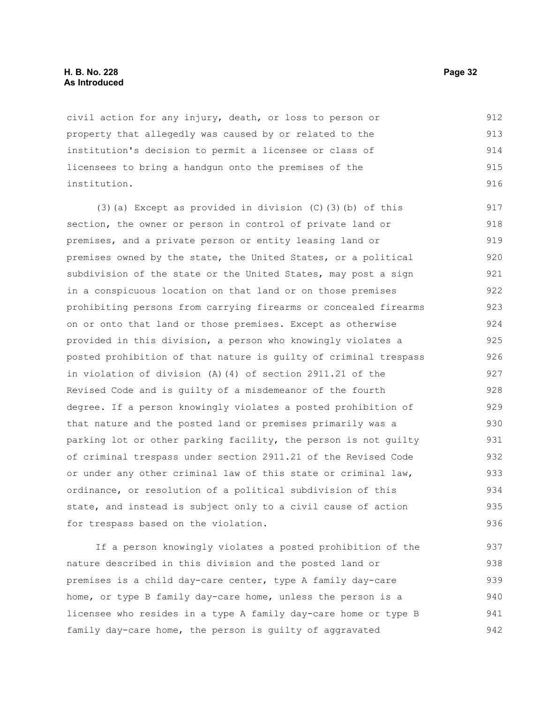#### **H. B. No. 228 Page 32 As Introduced**

civil action for any injury, death, or loss to person or property that allegedly was caused by or related to the institution's decision to permit a licensee or class of licensees to bring a handgun onto the premises of the institution. 912 913 914 915 916

(3)(a) Except as provided in division (C)(3)(b) of this section, the owner or person in control of private land or premises, and a private person or entity leasing land or premises owned by the state, the United States, or a political subdivision of the state or the United States, may post a sign in a conspicuous location on that land or on those premises prohibiting persons from carrying firearms or concealed firearms on or onto that land or those premises. Except as otherwise provided in this division, a person who knowingly violates a posted prohibition of that nature is guilty of criminal trespass in violation of division (A)(4) of section 2911.21 of the Revised Code and is guilty of a misdemeanor of the fourth degree. If a person knowingly violates a posted prohibition of that nature and the posted land or premises primarily was a parking lot or other parking facility, the person is not guilty of criminal trespass under section 2911.21 of the Revised Code or under any other criminal law of this state or criminal law, ordinance, or resolution of a political subdivision of this state, and instead is subject only to a civil cause of action for trespass based on the violation. 917 918 919 920 921 922 923 924 925 926 927 928 929 930 931 932 933 934 935 936

If a person knowingly violates a posted prohibition of the nature described in this division and the posted land or premises is a child day-care center, type A family day-care home, or type B family day-care home, unless the person is a licensee who resides in a type A family day-care home or type B family day-care home, the person is guilty of aggravated 937 938 939 940 941 942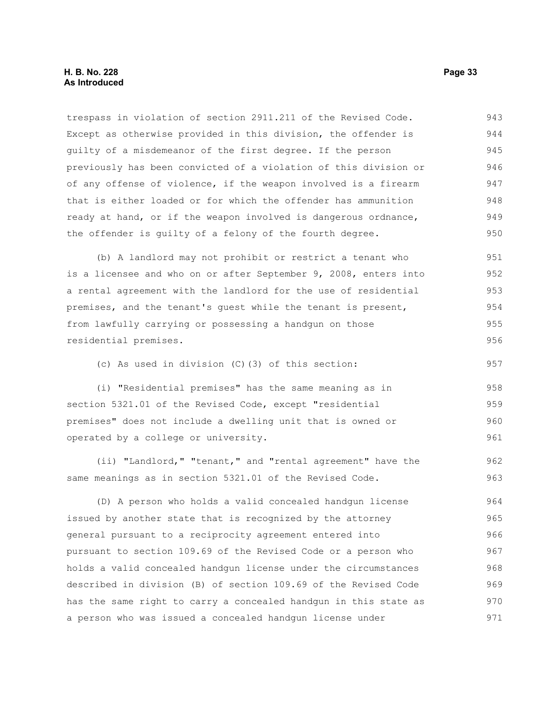trespass in violation of section 2911.211 of the Revised Code. Except as otherwise provided in this division, the offender is guilty of a misdemeanor of the first degree. If the person previously has been convicted of a violation of this division or of any offense of violence, if the weapon involved is a firearm that is either loaded or for which the offender has ammunition ready at hand, or if the weapon involved is dangerous ordnance, the offender is guilty of a felony of the fourth degree. 943 944 945 946 947 948 949 950

(b) A landlord may not prohibit or restrict a tenant who is a licensee and who on or after September 9, 2008, enters into a rental agreement with the landlord for the use of residential premises, and the tenant's guest while the tenant is present, from lawfully carrying or possessing a handgun on those residential premises. 951 952 953 954 955 956

(c) As used in division (C)(3) of this section:

(i) "Residential premises" has the same meaning as in section 5321.01 of the Revised Code, except "residential premises" does not include a dwelling unit that is owned or operated by a college or university. 958 959 960 961

(ii) "Landlord," "tenant," and "rental agreement" have the same meanings as in section 5321.01 of the Revised Code. 962 963

(D) A person who holds a valid concealed handgun license issued by another state that is recognized by the attorney general pursuant to a reciprocity agreement entered into pursuant to section 109.69 of the Revised Code or a person who holds a valid concealed handgun license under the circumstances described in division (B) of section 109.69 of the Revised Code has the same right to carry a concealed handgun in this state as a person who was issued a concealed handgun license under 964 965 966 967 968 969 970 971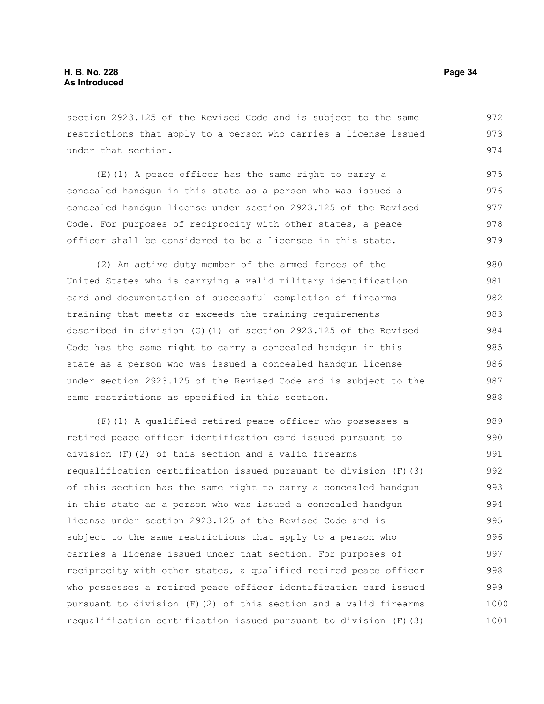section 2923.125 of the Revised Code and is subject to the same restrictions that apply to a person who carries a license issued under that section. 972 973 974

(E)(1) A peace officer has the same right to carry a concealed handgun in this state as a person who was issued a concealed handgun license under section 2923.125 of the Revised Code. For purposes of reciprocity with other states, a peace officer shall be considered to be a licensee in this state. 975 976 977 978 979

(2) An active duty member of the armed forces of the United States who is carrying a valid military identification card and documentation of successful completion of firearms training that meets or exceeds the training requirements described in division (G)(1) of section 2923.125 of the Revised Code has the same right to carry a concealed handgun in this state as a person who was issued a concealed handgun license under section 2923.125 of the Revised Code and is subject to the same restrictions as specified in this section. 980 981 982 983 984 985 986 987 988

(F)(1) A qualified retired peace officer who possesses a retired peace officer identification card issued pursuant to division (F)(2) of this section and a valid firearms requalification certification issued pursuant to division (F)(3) of this section has the same right to carry a concealed handgun in this state as a person who was issued a concealed handgun license under section 2923.125 of the Revised Code and is subject to the same restrictions that apply to a person who carries a license issued under that section. For purposes of reciprocity with other states, a qualified retired peace officer who possesses a retired peace officer identification card issued pursuant to division (F)(2) of this section and a valid firearms requalification certification issued pursuant to division (F)(3) 989 990 991 992 993 994 995 996 997 998 999 1000 1001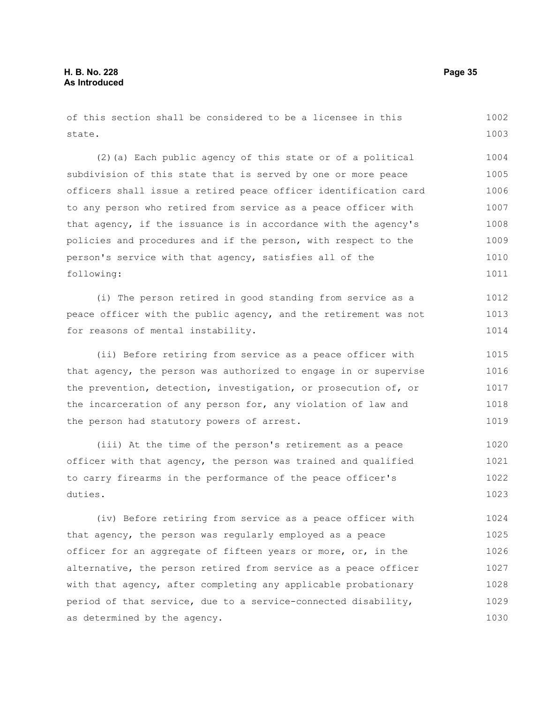of this section shall be considered to be a licensee in this state. 1002 1003

(2)(a) Each public agency of this state or of a political subdivision of this state that is served by one or more peace officers shall issue a retired peace officer identification card to any person who retired from service as a peace officer with that agency, if the issuance is in accordance with the agency's policies and procedures and if the person, with respect to the person's service with that agency, satisfies all of the following: 1004 1005 1006 1007 1008 1009 1010 1011

(i) The person retired in good standing from service as a peace officer with the public agency, and the retirement was not for reasons of mental instability. 1012 1013 1014

(ii) Before retiring from service as a peace officer with that agency, the person was authorized to engage in or supervise the prevention, detection, investigation, or prosecution of, or the incarceration of any person for, any violation of law and the person had statutory powers of arrest. 1015 1016 1017 1018 1019

(iii) At the time of the person's retirement as a peace officer with that agency, the person was trained and qualified to carry firearms in the performance of the peace officer's duties. 1020 1021 1022 1023

(iv) Before retiring from service as a peace officer with that agency, the person was regularly employed as a peace officer for an aggregate of fifteen years or more, or, in the alternative, the person retired from service as a peace officer with that agency, after completing any applicable probationary period of that service, due to a service-connected disability, as determined by the agency. 1024 1025 1026 1027 1028 1029 1030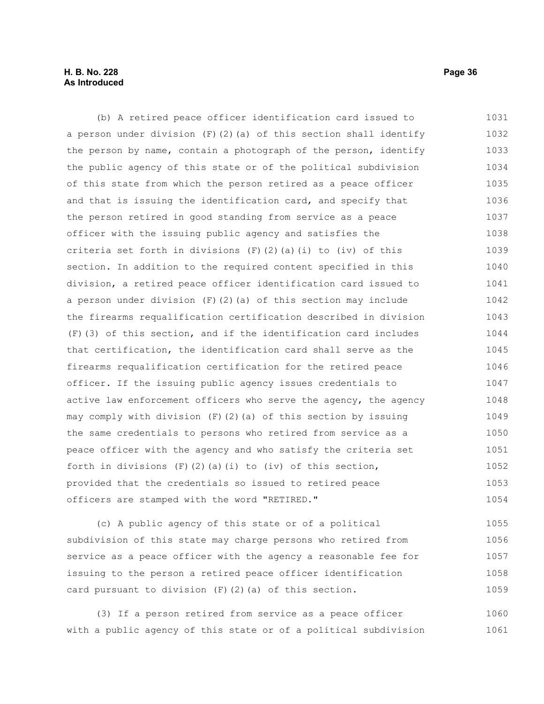## **H. B. No. 228 Page 36 As Introduced**

(b) A retired peace officer identification card issued to a person under division  $(F)(2)(a)$  of this section shall identify the person by name, contain a photograph of the person, identify the public agency of this state or of the political subdivision of this state from which the person retired as a peace officer and that is issuing the identification card, and specify that the person retired in good standing from service as a peace officer with the issuing public agency and satisfies the criteria set forth in divisions  $(F)$   $(2)$   $(a)$   $(i)$  to  $(iv)$  of this section. In addition to the required content specified in this division, a retired peace officer identification card issued to a person under division  $(F)(2)(a)$  of this section may include the firearms requalification certification described in division (F)(3) of this section, and if the identification card includes that certification, the identification card shall serve as the firearms requalification certification for the retired peace officer. If the issuing public agency issues credentials to active law enforcement officers who serve the agency, the agency may comply with division  $(F)(2)(a)$  of this section by issuing the same credentials to persons who retired from service as a peace officer with the agency and who satisfy the criteria set forth in divisions  $(F)(2)(a)(i)$  to (iv) of this section, provided that the credentials so issued to retired peace officers are stamped with the word "RETIRED." 1031 1032 1033 1034 1035 1036 1037 1038 1039 1040 1041 1042 1043 1044 1045 1046 1047 1048 1049 1050 1051 1052 1053 1054

(c) A public agency of this state or of a political subdivision of this state may charge persons who retired from service as a peace officer with the agency a reasonable fee for issuing to the person a retired peace officer identification card pursuant to division (F)(2)(a) of this section. 1055 1056 1057 1058 1059

(3) If a person retired from service as a peace officer with a public agency of this state or of a political subdivision 1060 1061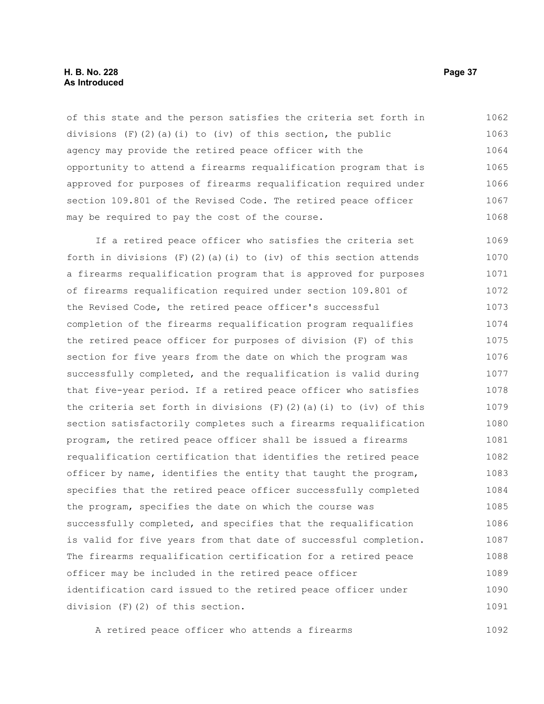#### **H. B. No. 228 Page 37 As Introduced**

of this state and the person satisfies the criteria set forth in divisions  $(F)(2)(a)(i)$  to (iv) of this section, the public agency may provide the retired peace officer with the opportunity to attend a firearms requalification program that is approved for purposes of firearms requalification required under section 109.801 of the Revised Code. The retired peace officer may be required to pay the cost of the course. 1062 1063 1064 1065 1066 1067 1068

If a retired peace officer who satisfies the criteria set forth in divisions  $(F)(2)(a)(i)$  to  $(iv)$  of this section attends a firearms requalification program that is approved for purposes of firearms requalification required under section 109.801 of the Revised Code, the retired peace officer's successful completion of the firearms requalification program requalifies the retired peace officer for purposes of division (F) of this section for five years from the date on which the program was successfully completed, and the requalification is valid during that five-year period. If a retired peace officer who satisfies the criteria set forth in divisions  $(F)(2)(a)(i)$  to  $(iv)$  of this section satisfactorily completes such a firearms requalification program, the retired peace officer shall be issued a firearms requalification certification that identifies the retired peace officer by name, identifies the entity that taught the program, specifies that the retired peace officer successfully completed the program, specifies the date on which the course was successfully completed, and specifies that the requalification is valid for five years from that date of successful completion. The firearms requalification certification for a retired peace officer may be included in the retired peace officer identification card issued to the retired peace officer under division (F)(2) of this section. 1069 1070 1071 1072 1073 1074 1075 1076 1077 1078 1079 1080 1081 1082 1083 1084 1085 1086 1087 1088 1089 1090 1091

A retired peace officer who attends a firearms 1092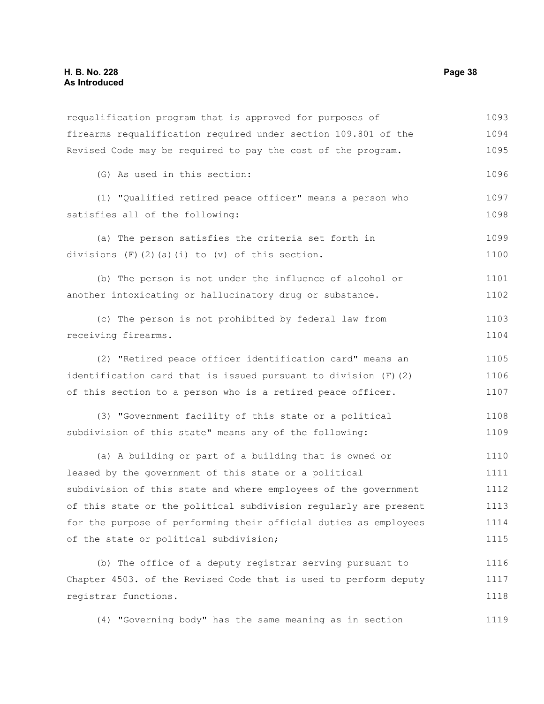requalification program that is approved for purposes of firearms requalification required under section 109.801 of the Revised Code may be required to pay the cost of the program. (G) As used in this section: (1) "Qualified retired peace officer" means a person who satisfies all of the following: (a) The person satisfies the criteria set forth in divisions  $(F)$   $(2)$   $(a)$   $(i)$  to  $(v)$  of this section. (b) The person is not under the influence of alcohol or another intoxicating or hallucinatory drug or substance. (c) The person is not prohibited by federal law from receiving firearms. (2) "Retired peace officer identification card" means an identification card that is issued pursuant to division (F)(2) of this section to a person who is a retired peace officer. (3) "Government facility of this state or a political subdivision of this state" means any of the following: (a) A building or part of a building that is owned or leased by the government of this state or a political subdivision of this state and where employees of the government of this state or the political subdivision regularly are present for the purpose of performing their official duties as employees of the state or political subdivision; (b) The office of a deputy registrar serving pursuant to Chapter 4503. of the Revised Code that is used to perform deputy registrar functions. (4) "Governing body" has the same meaning as in section 1093 1094 1095 1096 1097 1098 1099 1100 1101 1102 1103 1104 1105 1106 1107 1108 1109 1110 1111 1112 1113 1114 1115 1116 1117 1118 1119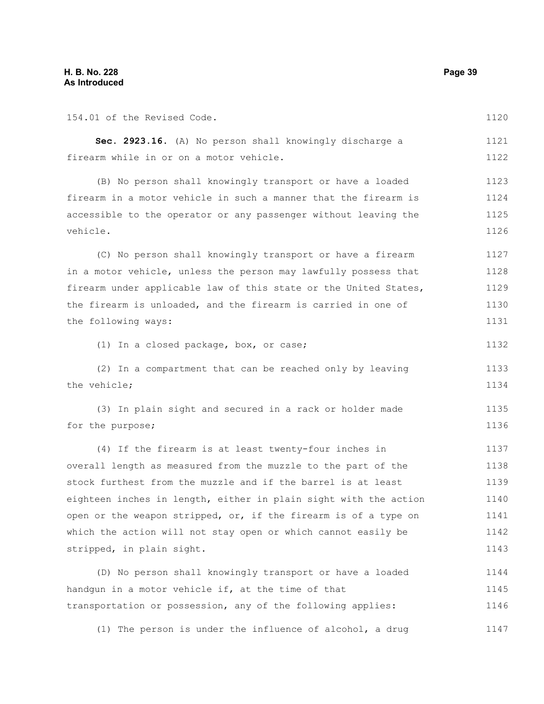| 154.01 of the Revised Code.                                      | 1120 |
|------------------------------------------------------------------|------|
| Sec. 2923.16. (A) No person shall knowingly discharge a          | 1121 |
| firearm while in or on a motor vehicle.                          | 1122 |
| (B) No person shall knowingly transport or have a loaded         | 1123 |
| firearm in a motor vehicle in such a manner that the firearm is  | 1124 |
| accessible to the operator or any passenger without leaving the  | 1125 |
| vehicle.                                                         | 1126 |
| (C) No person shall knowingly transport or have a firearm        | 1127 |
| in a motor vehicle, unless the person may lawfully possess that  | 1128 |
| firearm under applicable law of this state or the United States, | 1129 |
| the firearm is unloaded, and the firearm is carried in one of    | 1130 |
| the following ways:                                              | 1131 |
| (1) In a closed package, box, or case;                           | 1132 |
| (2) In a compartment that can be reached only by leaving         | 1133 |
| the vehicle;                                                     | 1134 |
| (3) In plain sight and secured in a rack or holder made          | 1135 |
| for the purpose;                                                 | 1136 |
| (4) If the firearm is at least twenty-four inches in             | 1137 |
| overall length as measured from the muzzle to the part of the    | 1138 |
| stock furthest from the muzzle and if the barrel is at least     | 1139 |
| eighteen inches in length, either in plain sight with the action | 1140 |
| open or the weapon stripped, or, if the firearm is of a type on  | 1141 |
| which the action will not stay open or which cannot easily be    | 1142 |
| stripped, in plain sight.                                        | 1143 |
| (D) No person shall knowingly transport or have a loaded         | 1144 |
| handgun in a motor vehicle if, at the time of that               | 1145 |
| transportation or possession, any of the following applies:      | 1146 |
| (1) The person is under the influence of alcohol, a drug         | 1147 |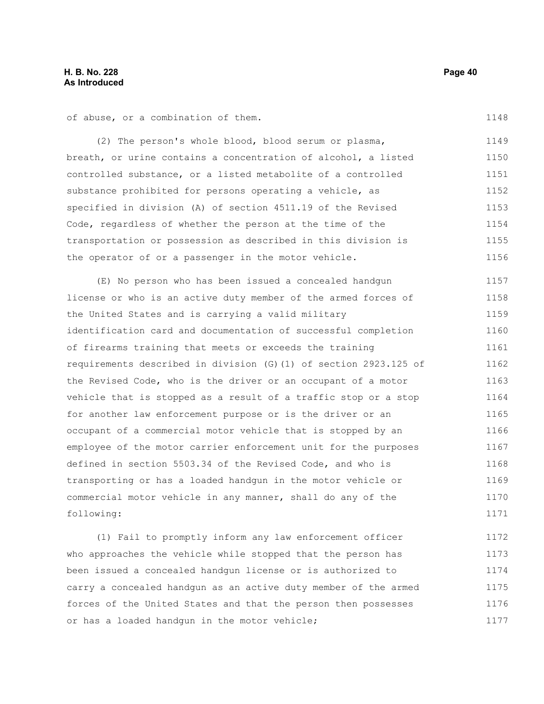of abuse, or a combination of them.

(2) The person's whole blood, blood serum or plasma, 1149 1150

breath, or urine contains a concentration of alcohol, a listed controlled substance, or a listed metabolite of a controlled substance prohibited for persons operating a vehicle, as specified in division (A) of section 4511.19 of the Revised Code, regardless of whether the person at the time of the transportation or possession as described in this division is the operator of or a passenger in the motor vehicle. 1151 1152 1153 1154 1155 1156

(E) No person who has been issued a concealed handgun license or who is an active duty member of the armed forces of the United States and is carrying a valid military identification card and documentation of successful completion of firearms training that meets or exceeds the training requirements described in division (G)(1) of section 2923.125 of the Revised Code, who is the driver or an occupant of a motor vehicle that is stopped as a result of a traffic stop or a stop for another law enforcement purpose or is the driver or an occupant of a commercial motor vehicle that is stopped by an employee of the motor carrier enforcement unit for the purposes defined in section 5503.34 of the Revised Code, and who is transporting or has a loaded handgun in the motor vehicle or commercial motor vehicle in any manner, shall do any of the following: 1157 1158 1159 1160 1161 1162 1163 1164 1165 1166 1167 1168 1169 1170 1171

(1) Fail to promptly inform any law enforcement officer who approaches the vehicle while stopped that the person has been issued a concealed handgun license or is authorized to carry a concealed handgun as an active duty member of the armed forces of the United States and that the person then possesses or has a loaded handgun in the motor vehicle; 1172 1173 1174 1175 1176 1177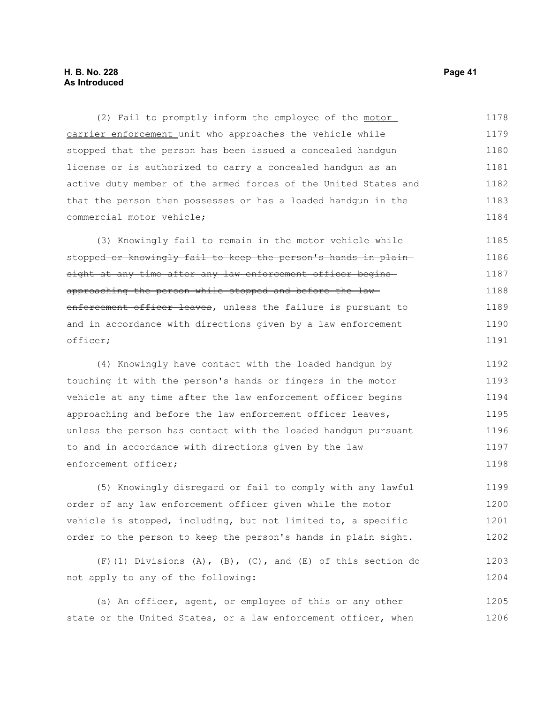(2) Fail to promptly inform the employee of the motor carrier enforcement unit who approaches the vehicle while stopped that the person has been issued a concealed handgun license or is authorized to carry a concealed handgun as an active duty member of the armed forces of the United States and that the person then possesses or has a loaded handgun in the commercial motor vehicle; 1178 1179 1180 1181 1182 1183 1184

(3) Knowingly fail to remain in the motor vehicle while stopped or knowingly fail to keep the person's hands in plainsight at any time after any law enforcement officer beginsapproaching the person while stopped and before the law enforcement officer leaves, unless the failure is pursuant to and in accordance with directions given by a law enforcement officer; 1185 1186 1187 1188 1189 1190 1191

(4) Knowingly have contact with the loaded handgun by touching it with the person's hands or fingers in the motor vehicle at any time after the law enforcement officer begins approaching and before the law enforcement officer leaves, unless the person has contact with the loaded handgun pursuant to and in accordance with directions given by the law enforcement officer; 1192 1193 1194 1195 1196 1197 1198

(5) Knowingly disregard or fail to comply with any lawful order of any law enforcement officer given while the motor vehicle is stopped, including, but not limited to, a specific order to the person to keep the person's hands in plain sight. 1199 1200 1201 1202

(F)(1) Divisions (A),  $(B)$ ,  $(C)$ , and  $(E)$  of this section do not apply to any of the following: 1203 1204

(a) An officer, agent, or employee of this or any other state or the United States, or a law enforcement officer, when 1205 1206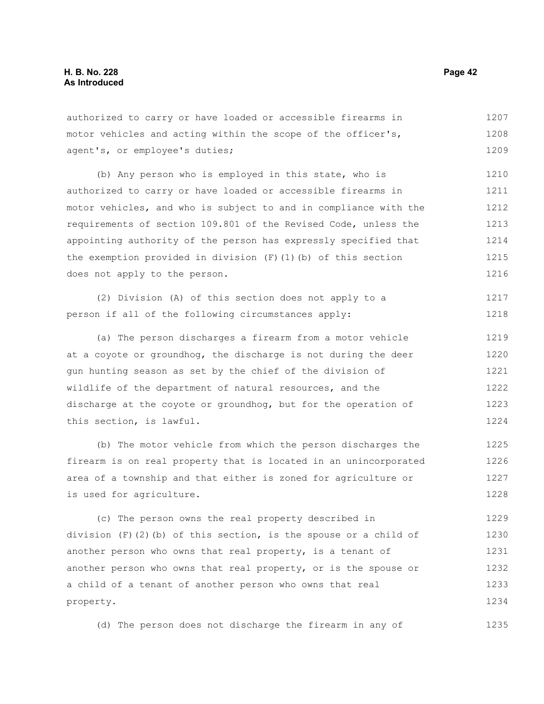authorized to carry or have loaded or accessible firearms in motor vehicles and acting within the scope of the officer's, agent's, or employee's duties; 1207 1208 1209

(b) Any person who is employed in this state, who is authorized to carry or have loaded or accessible firearms in motor vehicles, and who is subject to and in compliance with the requirements of section 109.801 of the Revised Code, unless the appointing authority of the person has expressly specified that the exemption provided in division  $(F)(1)(b)$  of this section does not apply to the person. 1210 1211 1212 1213 1214 1215 1216

(2) Division (A) of this section does not apply to a person if all of the following circumstances apply: 1217 1218

(a) The person discharges a firearm from a motor vehicle at a coyote or groundhog, the discharge is not during the deer gun hunting season as set by the chief of the division of wildlife of the department of natural resources, and the discharge at the coyote or groundhog, but for the operation of this section, is lawful. 1219 1220 1221 1222 1223 1224

(b) The motor vehicle from which the person discharges the firearm is on real property that is located in an unincorporated area of a township and that either is zoned for agriculture or is used for agriculture. 1225 1226 1227 1228

(c) The person owns the real property described in division  $(F)(2)(b)$  of this section, is the spouse or a child of another person who owns that real property, is a tenant of another person who owns that real property, or is the spouse or a child of a tenant of another person who owns that real property. 1229 1230 1231 1232 1233 1234

(d) The person does not discharge the firearm in any of 1235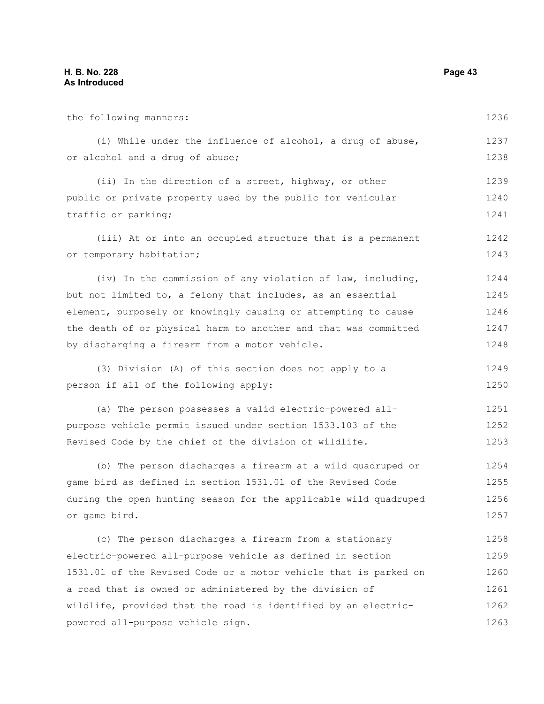the following manners: (i) While under the influence of alcohol, a drug of abuse, or alcohol and a drug of abuse; (ii) In the direction of a street, highway, or other public or private property used by the public for vehicular traffic or parking; (iii) At or into an occupied structure that is a permanent or temporary habitation; (iv) In the commission of any violation of law, including, but not limited to, a felony that includes, as an essential element, purposely or knowingly causing or attempting to cause the death of or physical harm to another and that was committed by discharging a firearm from a motor vehicle. (3) Division (A) of this section does not apply to a person if all of the following apply: (a) The person possesses a valid electric-powered allpurpose vehicle permit issued under section 1533.103 of the Revised Code by the chief of the division of wildlife. (b) The person discharges a firearm at a wild quadruped or game bird as defined in section 1531.01 of the Revised Code during the open hunting season for the applicable wild quadruped or game bird. (c) The person discharges a firearm from a stationary electric-powered all-purpose vehicle as defined in section 1531.01 of the Revised Code or a motor vehicle that is parked on a road that is owned or administered by the division of wildlife, provided that the road is identified by an electricpowered all-purpose vehicle sign. 1236 1237 1238 1239 1240 1241 1242 1243 1244 1245 1246 1247 1248 1249 1250 1251 1252 1253 1254 1255 1256 1257 1258 1259 1260 1261 1262 1263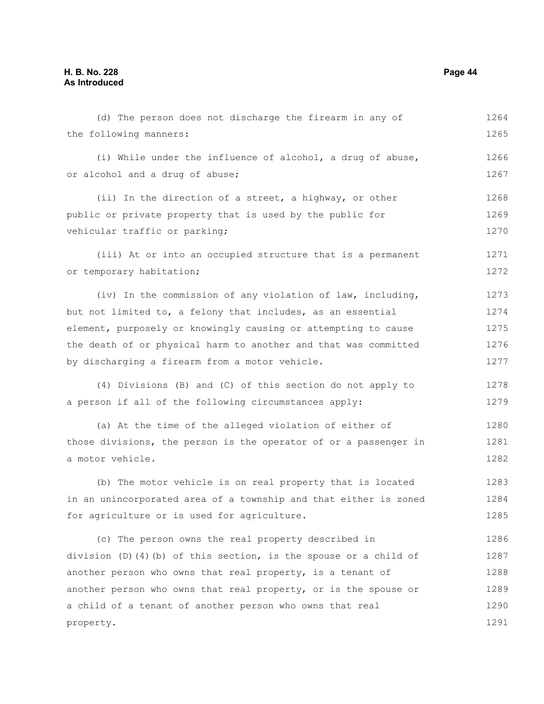(d) The person does not discharge the firearm in any of the following manners: (i) While under the influence of alcohol, a drug of abuse, or alcohol and a drug of abuse; (ii) In the direction of a street, a highway, or other public or private property that is used by the public for vehicular traffic or parking; (iii) At or into an occupied structure that is a permanent or temporary habitation; (iv) In the commission of any violation of law, including, but not limited to, a felony that includes, as an essential element, purposely or knowingly causing or attempting to cause the death of or physical harm to another and that was committed by discharging a firearm from a motor vehicle. (4) Divisions (B) and (C) of this section do not apply to a person if all of the following circumstances apply: (a) At the time of the alleged violation of either of those divisions, the person is the operator of or a passenger in a motor vehicle. (b) The motor vehicle is on real property that is located in an unincorporated area of a township and that either is zoned for agriculture or is used for agriculture. (c) The person owns the real property described in division (D)(4)(b) of this section, is the spouse or a child of another person who owns that real property, is a tenant of another person who owns that real property, or is the spouse or a child of a tenant of another person who owns that real property. 1264 1265 1266 1267 1268 1269 1270 1271 1272 1273 1274 1275 1276 1277 1278 1279 1280 1281 1282 1283 1284 1285 1286 1287 1288 1289 1290 1291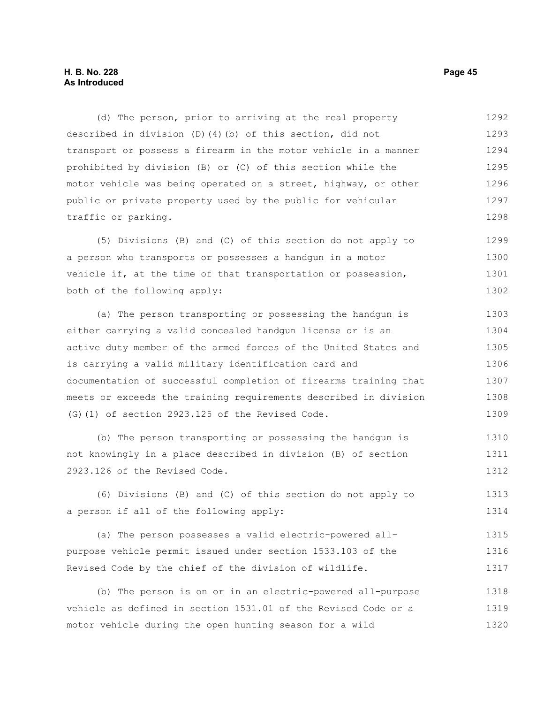(d) The person, prior to arriving at the real property described in division (D)(4)(b) of this section, did not transport or possess a firearm in the motor vehicle in a manner prohibited by division (B) or (C) of this section while the motor vehicle was being operated on a street, highway, or other public or private property used by the public for vehicular traffic or parking. 1292 1293 1294 1295 1296 1297 1298

(5) Divisions (B) and (C) of this section do not apply to a person who transports or possesses a handgun in a motor vehicle if, at the time of that transportation or possession, both of the following apply: 1299 1300 1301 1302

(a) The person transporting or possessing the handgun is either carrying a valid concealed handgun license or is an active duty member of the armed forces of the United States and is carrying a valid military identification card and documentation of successful completion of firearms training that meets or exceeds the training requirements described in division (G)(1) of section 2923.125 of the Revised Code. 1303 1304 1305 1306 1307 1308 1309

(b) The person transporting or possessing the handgun is not knowingly in a place described in division (B) of section 2923.126 of the Revised Code. 1310 1311 1312

(6) Divisions (B) and (C) of this section do not apply to a person if all of the following apply: 1313 1314

(a) The person possesses a valid electric-powered allpurpose vehicle permit issued under section 1533.103 of the Revised Code by the chief of the division of wildlife. 1315 1316 1317

(b) The person is on or in an electric-powered all-purpose vehicle as defined in section 1531.01 of the Revised Code or a motor vehicle during the open hunting season for a wild 1318 1319 1320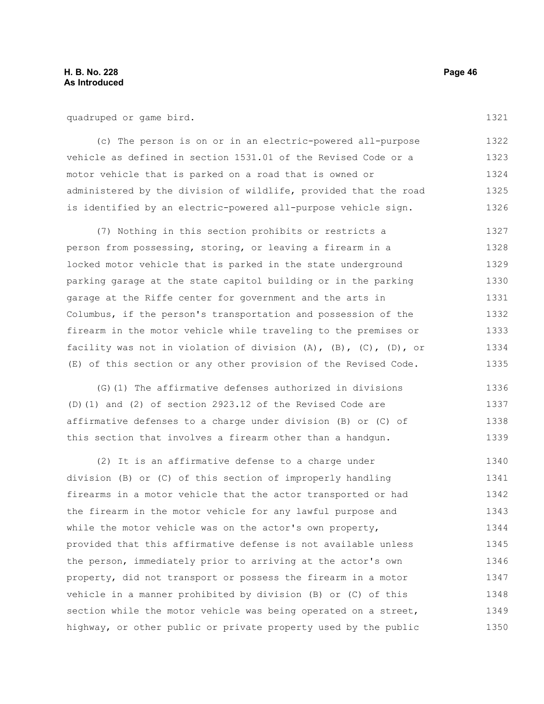quadruped or game bird.

(c) The person is on or in an electric-powered all-purpose vehicle as defined in section 1531.01 of the Revised Code or a motor vehicle that is parked on a road that is owned or administered by the division of wildlife, provided that the road is identified by an electric-powered all-purpose vehicle sign. 1322 1323 1324 1325 1326

(7) Nothing in this section prohibits or restricts a person from possessing, storing, or leaving a firearm in a locked motor vehicle that is parked in the state underground parking garage at the state capitol building or in the parking garage at the Riffe center for government and the arts in Columbus, if the person's transportation and possession of the firearm in the motor vehicle while traveling to the premises or facility was not in violation of division (A), (B), (C), (D), or (E) of this section or any other provision of the Revised Code. 1327 1328 1329 1330 1331 1332 1333 1334 1335

(G)(1) The affirmative defenses authorized in divisions (D)(1) and (2) of section 2923.12 of the Revised Code are affirmative defenses to a charge under division (B) or (C) of this section that involves a firearm other than a handgun. 1336 1337 1338 1339

(2) It is an affirmative defense to a charge under division (B) or (C) of this section of improperly handling firearms in a motor vehicle that the actor transported or had the firearm in the motor vehicle for any lawful purpose and while the motor vehicle was on the actor's own property, provided that this affirmative defense is not available unless the person, immediately prior to arriving at the actor's own property, did not transport or possess the firearm in a motor vehicle in a manner prohibited by division (B) or (C) of this section while the motor vehicle was being operated on a street, highway, or other public or private property used by the public 1340 1341 1342 1343 1344 1345 1346 1347 1348 1349 1350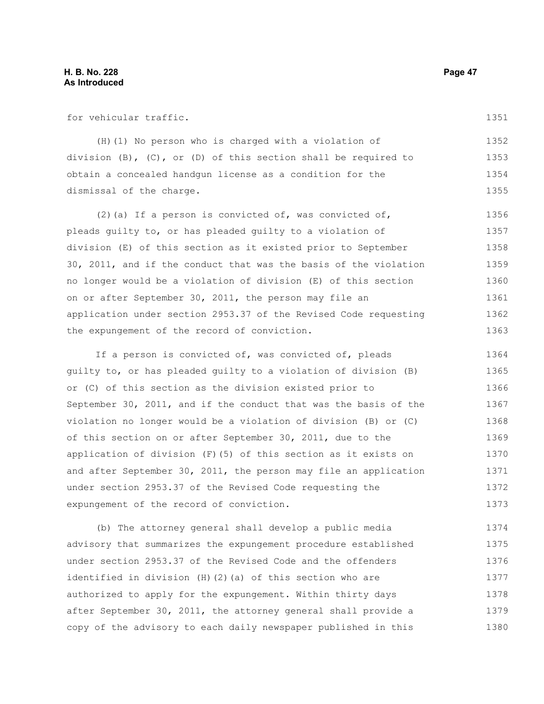for vehicular traffic.

1351

(H)(1) No person who is charged with a violation of division (B), (C), or (D) of this section shall be required to obtain a concealed handgun license as a condition for the dismissal of the charge. 1352 1353 1354 1355

(2)(a) If a person is convicted of, was convicted of, pleads guilty to, or has pleaded guilty to a violation of division (E) of this section as it existed prior to September 30, 2011, and if the conduct that was the basis of the violation no longer would be a violation of division (E) of this section on or after September 30, 2011, the person may file an application under section 2953.37 of the Revised Code requesting the expungement of the record of conviction. 1356 1357 1358 1359 1360 1361 1362 1363

If a person is convicted of, was convicted of, pleads guilty to, or has pleaded guilty to a violation of division (B) or (C) of this section as the division existed prior to September 30, 2011, and if the conduct that was the basis of the violation no longer would be a violation of division (B) or (C) of this section on or after September 30, 2011, due to the application of division (F)(5) of this section as it exists on and after September 30, 2011, the person may file an application under section 2953.37 of the Revised Code requesting the expungement of the record of conviction. 1364 1365 1366 1367 1368 1369 1370 1371 1372 1373

(b) The attorney general shall develop a public media advisory that summarizes the expungement procedure established under section 2953.37 of the Revised Code and the offenders identified in division (H)(2)(a) of this section who are authorized to apply for the expungement. Within thirty days after September 30, 2011, the attorney general shall provide a copy of the advisory to each daily newspaper published in this 1374 1375 1376 1377 1378 1379 1380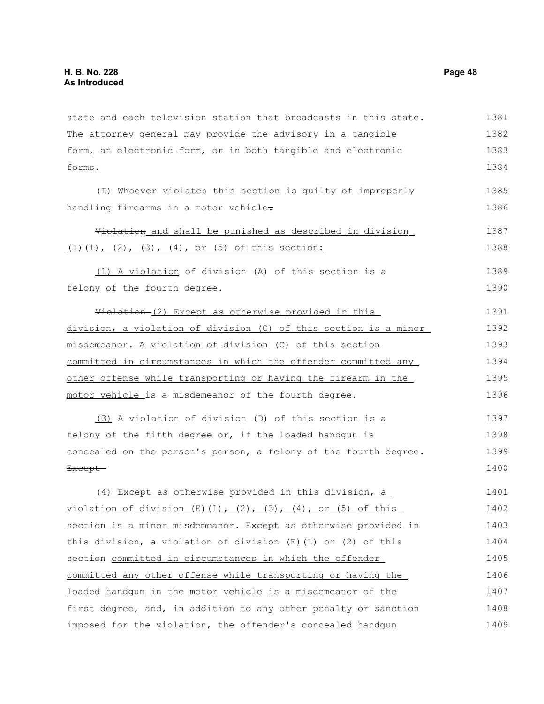| state and each television station that broadcasts in this state.          | 1381 |
|---------------------------------------------------------------------------|------|
| The attorney general may provide the advisory in a tangible               | 1382 |
| form, an electronic form, or in both tangible and electronic              | 1383 |
| forms.                                                                    | 1384 |
| (I) Whoever violates this section is guilty of improperly                 | 1385 |
| handling firearms in a motor vehicle-                                     | 1386 |
| Violation and shall be punished as described in division                  | 1387 |
| $(1)$ $(1)$ , $(2)$ , $(3)$ , $(4)$ , or $(5)$ of this section:           | 1388 |
| (1) A violation of division (A) of this section is a                      | 1389 |
| felony of the fourth degree.                                              | 1390 |
| Violation-(2) Except as otherwise provided in this                        | 1391 |
| division, a violation of division (C) of this section is a minor          | 1392 |
| misdemeanor. A violation of division (C) of this section                  | 1393 |
| committed in circumstances in which the offender committed any            | 1394 |
| other offense while transporting or having the firearm in the             |      |
| motor vehicle is a misdemeanor of the fourth degree.                      | 1396 |
| (3) A violation of division (D) of this section is a                      | 1397 |
| felony of the fifth degree or, if the loaded handgun is                   | 1398 |
| concealed on the person's person, a felony of the fourth degree.          | 1399 |
| Except-                                                                   | 1400 |
| (4) Except as otherwise provided in this division, a                      | 1401 |
| violation of division $(E)(1)$ , $(2)$ , $(3)$ , $(4)$ , or $(5)$ of this | 1402 |
| section is a minor misdemeanor. Except as otherwise provided in           | 1403 |
| this division, a violation of division $(E)$ (1) or (2) of this           | 1404 |
| section committed in circumstances in which the offender                  | 1405 |
| committed any other offense while transporting or having the              | 1406 |
| loaded handqun in the motor vehicle is a misdemeanor of the               | 1407 |
| first degree, and, in addition to any other penalty or sanction           | 1408 |
| imposed for the violation, the offender's concealed handgun               | 1409 |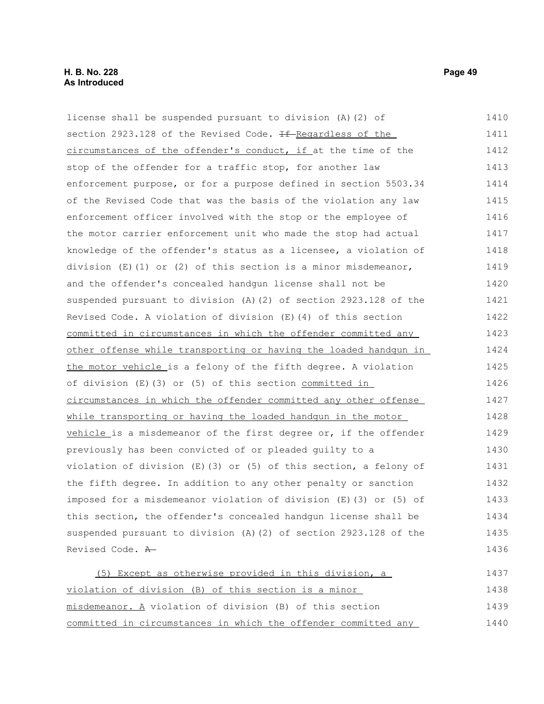### **H. B. No. 228 Page 49 As Introduced**

license shall be suspended pursuant to division (A)(2) of section 2923.128 of the Revised Code. <del>If R</del>egardless of the circumstances of the offender's conduct, if at the time of the stop of the offender for a traffic stop, for another law enforcement purpose, or for a purpose defined in section 5503.34 of the Revised Code that was the basis of the violation any law enforcement officer involved with the stop or the employee of the motor carrier enforcement unit who made the stop had actual knowledge of the offender's status as a licensee, a violation of division  $(E)$  (1) or (2) of this section is a minor misdemeanor, and the offender's concealed handgun license shall not be suspended pursuant to division (A)(2) of section 2923.128 of the Revised Code. A violation of division (E)(4) of this section committed in circumstances in which the offender committed any other offense while transporting or having the loaded handgun in the motor vehicle is a felony of the fifth degree. A violation of division (E)(3) or (5) of this section committed in circumstances in which the offender committed any other offense while transporting or having the loaded handgun in the motor vehicle is a misdemeanor of the first degree or, if the offender previously has been convicted of or pleaded guilty to a violation of division (E)(3) or (5) of this section, a felony of the fifth degree. In addition to any other penalty or sanction imposed for a misdemeanor violation of division (E)(3) or (5) of this section, the offender's concealed handgun license shall be suspended pursuant to division (A)(2) of section 2923.128 of the Revised Code. A (5) Except as otherwise provided in this division, a 1410 1411 1412 1413 1414 1415 1416 1417 1418 1419 1420 1421 1422 1423 1424 1425 1426 1427 1428 1429 1430 1431 1432 1433 1434 1435 1436 1437

violation of division (B) of this section is a minor misdemeanor. A violation of division (B) of this section committed in circumstances in which the offender committed any 1438 1439 1440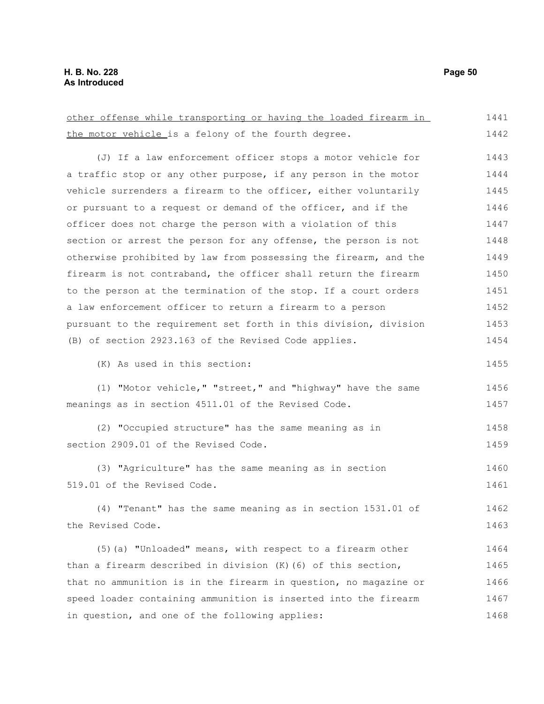other offense while transporting or having the loaded firearm in the motor vehicle is a felony of the fourth degree. (J) If a law enforcement officer stops a motor vehicle for a traffic stop or any other purpose, if any person in the motor vehicle surrenders a firearm to the officer, either voluntarily or pursuant to a request or demand of the officer, and if the officer does not charge the person with a violation of this section or arrest the person for any offense, the person is not otherwise prohibited by law from possessing the firearm, and the firearm is not contraband, the officer shall return the firearm to the person at the termination of the stop. If a court orders a law enforcement officer to return a firearm to a person pursuant to the requirement set forth in this division, division (B) of section 2923.163 of the Revised Code applies. (K) As used in this section: (1) "Motor vehicle," "street," and "highway" have the same meanings as in section 4511.01 of the Revised Code. (2) "Occupied structure" has the same meaning as in section 2909.01 of the Revised Code. (3) "Agriculture" has the same meaning as in section 519.01 of the Revised Code. (4) "Tenant" has the same meaning as in section 1531.01 of the Revised Code. (5)(a) "Unloaded" means, with respect to a firearm other than a firearm described in division (K)(6) of this section, that no ammunition is in the firearm in question, no magazine or 1442 1443 1444 1445 1446 1447 1448 1449 1450 1451 1452 1453 1454 1455 1456 1457 1458 1459 1460 1461 1462 1463 1464 1465 1466

speed loader containing ammunition is inserted into the firearm in question, and one of the following applies: 1467 1468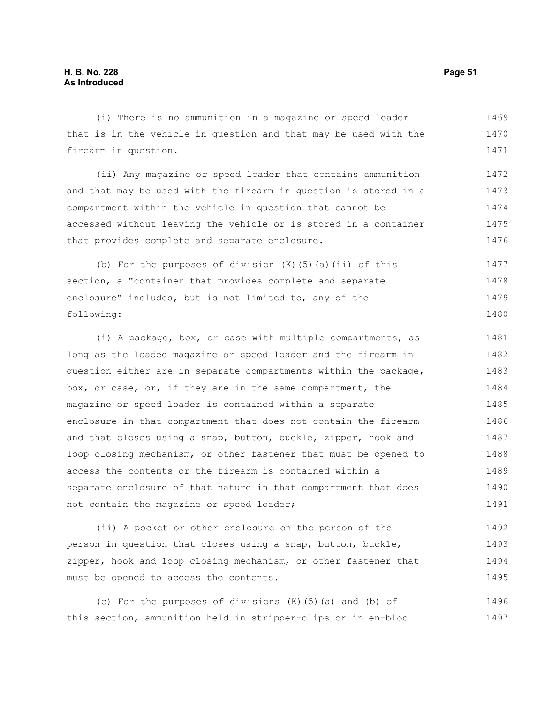(i) There is no ammunition in a magazine or speed loader that is in the vehicle in question and that may be used with the firearm in question. 1469 1470 1471

(ii) Any magazine or speed loader that contains ammunition and that may be used with the firearm in question is stored in a compartment within the vehicle in question that cannot be accessed without leaving the vehicle or is stored in a container that provides complete and separate enclosure. 1472 1473 1474 1475 1476

(b) For the purposes of division  $(K)$  (5)(a)(ii) of this section, a "container that provides complete and separate enclosure" includes, but is not limited to, any of the following: 1477 1478 1479 1480

(i) A package, box, or case with multiple compartments, as long as the loaded magazine or speed loader and the firearm in question either are in separate compartments within the package, box, or case, or, if they are in the same compartment, the magazine or speed loader is contained within a separate enclosure in that compartment that does not contain the firearm and that closes using a snap, button, buckle, zipper, hook and loop closing mechanism, or other fastener that must be opened to access the contents or the firearm is contained within a separate enclosure of that nature in that compartment that does not contain the magazine or speed loader; 1481 1482 1483 1484 1485 1486 1487 1488 1489 1490 1491

(ii) A pocket or other enclosure on the person of the person in question that closes using a snap, button, buckle, zipper, hook and loop closing mechanism, or other fastener that must be opened to access the contents. 1492 1493 1494 1495

(c) For the purposes of divisions (K)(5)(a) and (b) of this section, ammunition held in stripper-clips or in en-bloc 1496 1497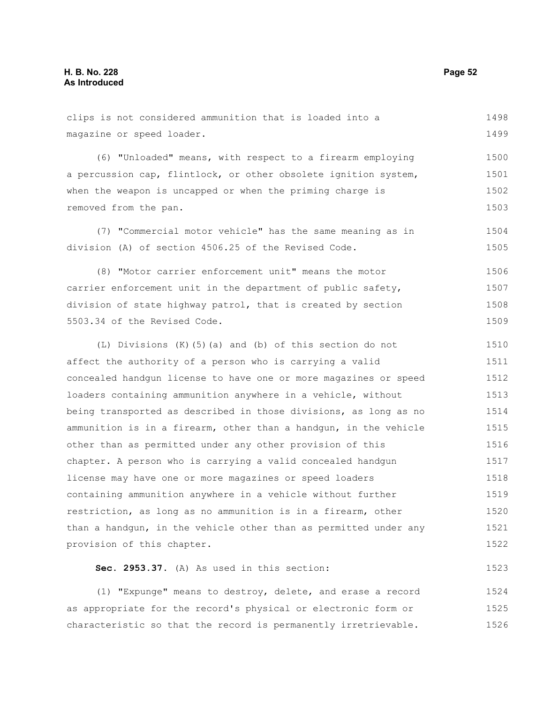1523

clips is not considered ammunition that is loaded into a magazine or speed loader. (6) "Unloaded" means, with respect to a firearm employing a percussion cap, flintlock, or other obsolete ignition system, when the weapon is uncapped or when the priming charge is removed from the pan. (7) "Commercial motor vehicle" has the same meaning as in division (A) of section 4506.25 of the Revised Code. (8) "Motor carrier enforcement unit" means the motor carrier enforcement unit in the department of public safety, division of state highway patrol, that is created by section 5503.34 of the Revised Code. (L) Divisions (K)(5)(a) and (b) of this section do not affect the authority of a person who is carrying a valid concealed handgun license to have one or more magazines or speed loaders containing ammunition anywhere in a vehicle, without being transported as described in those divisions, as long as no ammunition is in a firearm, other than a handgun, in the vehicle other than as permitted under any other provision of this chapter. A person who is carrying a valid concealed handgun 1498 1499 1500 1501 1502 1503 1504 1505 1506 1507 1508 1509 1510 1511 1512 1513 1514 1515 1516 1517

license may have one or more magazines or speed loaders containing ammunition anywhere in a vehicle without further restriction, as long as no ammunition is in a firearm, other than a handgun, in the vehicle other than as permitted under any provision of this chapter. 1518 1519 1520 1521 1522

**Sec. 2953.37.** (A) As used in this section:

(1) "Expunge" means to destroy, delete, and erase a record as appropriate for the record's physical or electronic form or characteristic so that the record is permanently irretrievable. 1524 1525 1526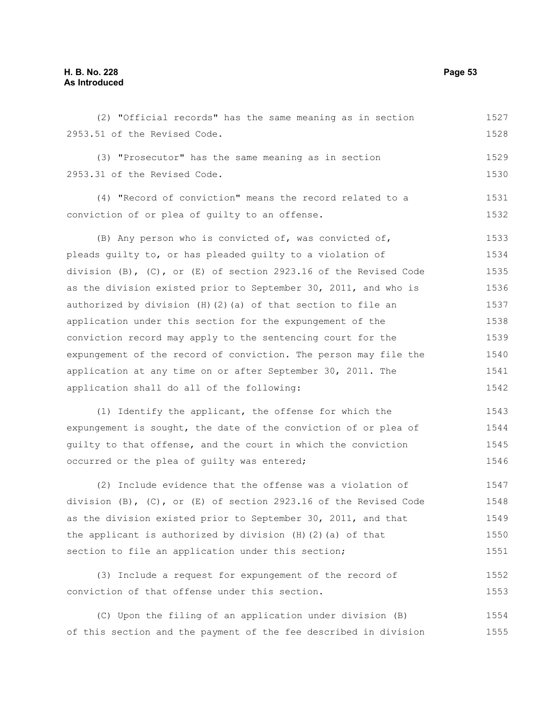(2) "Official records" has the same meaning as in section 2953.51 of the Revised Code. (3) "Prosecutor" has the same meaning as in section 2953.31 of the Revised Code. (4) "Record of conviction" means the record related to a conviction of or plea of guilty to an offense. (B) Any person who is convicted of, was convicted of, pleads guilty to, or has pleaded guilty to a violation of division  $(B)$ ,  $(C)$ , or  $(E)$  of section 2923.16 of the Revised Code as the division existed prior to September 30, 2011, and who is authorized by division  $(H)(2)(a)$  of that section to file an application under this section for the expungement of the conviction record may apply to the sentencing court for the expungement of the record of conviction. The person may file the application at any time on or after September 30, 2011. The application shall do all of the following: (1) Identify the applicant, the offense for which the expungement is sought, the date of the conviction of or plea of guilty to that offense, and the court in which the conviction occurred or the plea of guilty was entered; (2) Include evidence that the offense was a violation of division  $(B)$ ,  $(C)$ , or  $(E)$  of section 2923.16 of the Revised Code as the division existed prior to September 30, 2011, and that the applicant is authorized by division (H)(2)(a) of that 1527 1528 1529 1530 1531 1532 1533 1534 1535 1536 1537 1538 1539 1540 1541 1542 1543 1544 1545 1546 1547 1548 1549 1550

(3) Include a request for expungement of the record of conviction of that offense under this section. 1552 1553

section to file an application under this section;

(C) Upon the filing of an application under division (B) of this section and the payment of the fee described in division 1554 1555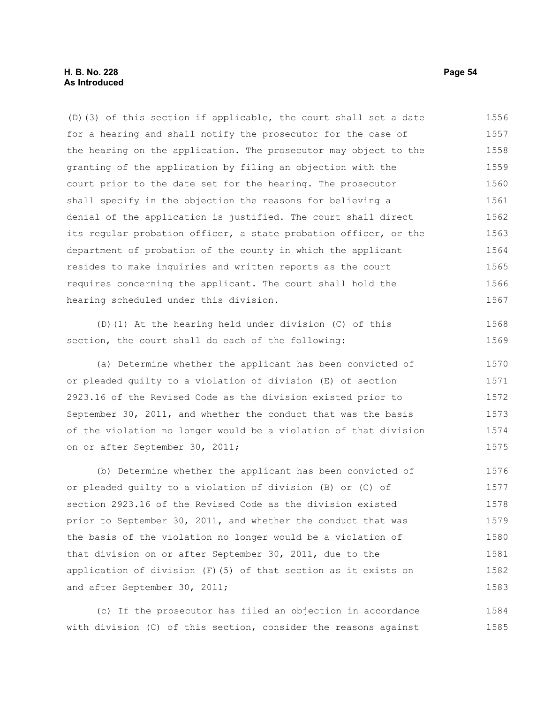(D)(3) of this section if applicable, the court shall set a date for a hearing and shall notify the prosecutor for the case of the hearing on the application. The prosecutor may object to the granting of the application by filing an objection with the court prior to the date set for the hearing. The prosecutor shall specify in the objection the reasons for believing a denial of the application is justified. The court shall direct its regular probation officer, a state probation officer, or the department of probation of the county in which the applicant resides to make inquiries and written reports as the court requires concerning the applicant. The court shall hold the hearing scheduled under this division. 1556 1557 1558 1559 1560 1561 1562 1563 1564 1565 1566 1567

(D)(1) At the hearing held under division (C) of this section, the court shall do each of the following:

(a) Determine whether the applicant has been convicted of or pleaded guilty to a violation of division (E) of section 2923.16 of the Revised Code as the division existed prior to September 30, 2011, and whether the conduct that was the basis of the violation no longer would be a violation of that division on or after September 30, 2011; 1570 1571 1572 1573 1574 1575

(b) Determine whether the applicant has been convicted of or pleaded guilty to a violation of division (B) or (C) of section 2923.16 of the Revised Code as the division existed prior to September 30, 2011, and whether the conduct that was the basis of the violation no longer would be a violation of that division on or after September 30, 2011, due to the application of division (F)(5) of that section as it exists on and after September 30, 2011; 1576 1577 1578 1579 1580 1581 1582 1583

(c) If the prosecutor has filed an objection in accordance with division (C) of this section, consider the reasons against 1584 1585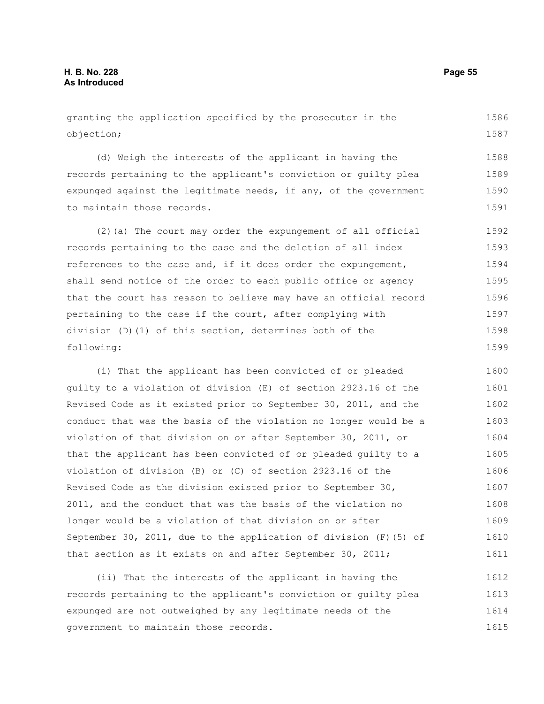#### granting the application specified by the prosecutor in the objection; (d) Weigh the interests of the applicant in having the records pertaining to the applicant's conviction or guilty plea expunged against the legitimate needs, if any, of the government to maintain those records. (2)(a) The court may order the expungement of all official records pertaining to the case and the deletion of all index references to the case and, if it does order the expungement, shall send notice of the order to each public office or agency that the court has reason to believe may have an official record pertaining to the case if the court, after complying with division (D)(1) of this section, determines both of the following: (i) That the applicant has been convicted of or pleaded guilty to a violation of division (E) of section 2923.16 of the Revised Code as it existed prior to September 30, 2011, and the conduct that was the basis of the violation no longer would be a violation of that division on or after September 30, 2011, or that the applicant has been convicted of or pleaded guilty to a violation of division (B) or (C) of section 2923.16 of the 1586 1587 1588 1589 1590 1591 1592 1593 1594 1595 1596 1597 1598 1599 1600 1601 1602 1603 1604 1605 1606

Revised Code as the division existed prior to September 30, 2011, and the conduct that was the basis of the violation no longer would be a violation of that division on or after September 30, 2011, due to the application of division (F)(5) of that section as it exists on and after September 30, 2011; 1607 1608 1609 1610 1611

(ii) That the interests of the applicant in having the records pertaining to the applicant's conviction or guilty plea expunged are not outweighed by any legitimate needs of the government to maintain those records. 1612 1613 1614 1615